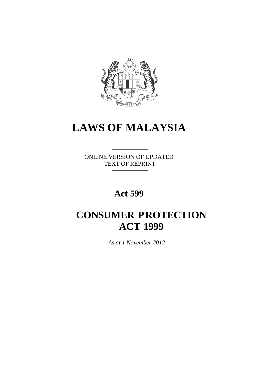

# **LAWS OF MALAYSIA**

ONLINE VERSION OF UPDATED TEXT OF REPRINT

## **Act 599**

## **CONSUMER PROTECTION ACT 1999**

 *As at 1 November 2012*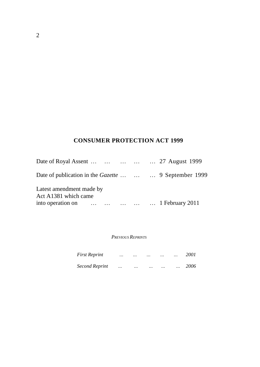## **CONSUMER PROTECTION ACT 1999**

| Date of Royal Assent      27 August 1999               |  |  |
|--------------------------------------------------------|--|--|
| Date of publication in the Gazette    9 September 1999 |  |  |
| Latest amendment made by<br>Act A1381 which came       |  |  |
| into operation on      1 February 2011                 |  |  |

#### *PREVIOUS REPRINTS*

| <b>First Reprint</b>  | $\ddotsc$ | $\ddotsc$ | $\ddotsc$ | $\ddotsc$ | $\ddotsc$ | 2001 |
|-----------------------|-----------|-----------|-----------|-----------|-----------|------|
| <b>Second Reprint</b> |           | $\ddotsc$ | $\ddotsc$ | $\ddotsc$ | $\ddotsc$ | 2006 |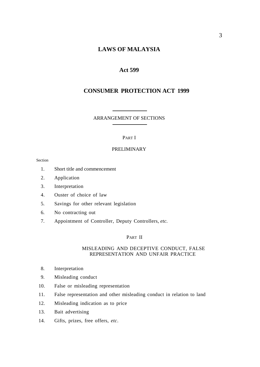## **LAWS OF MALAYSIA**

## **Act 599**

## **CONSUMER PROTECTION ACT 1999**

#### ARRANGEMENT OF SECTIONS

#### PART I

#### PRELIMINARY

Section

- 1. Short title and commencement
- 2. Application
- 3. Interpretation
- 4. Ouster of choice of law
- 5. Savings for other relevant legislation
- 6. No contracting out
- 7. Appointment of Controller, Deputy Controllers, *etc.*

#### PART II

#### MISLEADING AND DECEPTIVE CONDUCT, FALSE REPRESENTATION AND UNFAIR PRACTICE

- 8. Interpretation
- 9. Misleading conduct
- 10. False or misleading representation
- 11. False representation and other misleading conduct in relation to land
- 12. Misleading indication as to price
- 13. Bait advertising
- 14. Gifts, prizes, free offers, *etc*.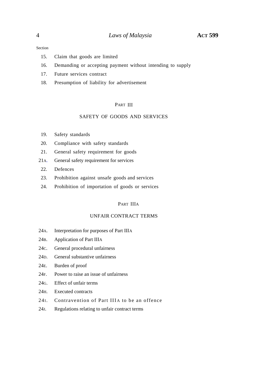#### Section

- 15. Claim that goods are limited
- 16. Demanding or accepting payment without intending to supply
- 17. Future services contract
- 18. Presumption of liability for advertisement

#### PART III

#### SAFETY OF GOODS AND SERVICES

- 19. Safety standards
- 20. Compliance with safety standards
- 21. General safety requirement for goods
- 21A. General safety requirement for services
- 22. Defences
- 23. Prohibition against unsafe goods and services
- 24. Prohibition of importation of goods or services

## PART IIIA

#### UNFAIR CONTRACT TERMS

- 24A. Interpretation for purposes of Part IIIA
- 24B. Application of Part IIIA
- 24C. General procedural unfairness
- 24D. General substantive unfairness
- 24E. Burden of proof
- 24F. Power to raise an issue of unfairness
- 24G. Effect of unfair terms
- 24H. Executed contracts
- 24I. Contravention of Part IIIA to be an offence
- 24J. Regulations relating to unfair contract terms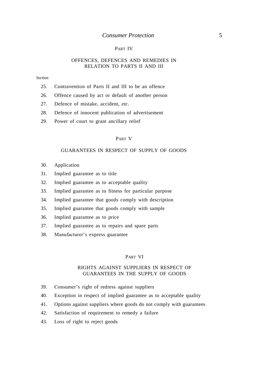#### PART IV

#### OFFENCES, DEFENCES AND REMEDIES IN RELATION TO PARTS II AND III

#### Section

- 25. Contravention of Parts II and III to be an offence
- 26. Offence caused by act or default of another person
- 27. Defence of mistake, accident, *etc*.
- 28. Defence of innocent publication of advertisement
- 29. Power of court to grant ancillary relief

#### PART V

#### GUARANTEES IN RESPECT OF SUPPLY OF GOODS

- 30. Application
- 31. Implied guarantee as to title
- 32. Implied guarantee as to acceptable quality
- 33. Implied guarantee as to fitness for particular purpose
- 34. Implied guarantee that goods comply with description
- 35. Implied guarantee that goods comply with sample
- 36. Implied guarantee as to price
- 37. Implied guarantee as to repairs and spare parts
- 38. Manufacturer's express guarantee

#### PART VI

#### RIGHTS AGAINST SUPPLIERS IN RESPECT OF GUARANTEES IN THE SUPPLY OF GOODS

- 39. Consumer's right of redress against suppliers
- 40. Exception in respect of implied guarantee as to acceptable quality
- 41. Options against suppliers where goods do not comply with guarantees
- 42. Satisfaction of requirement to remedy a failure
- 43. Loss of right to reject goods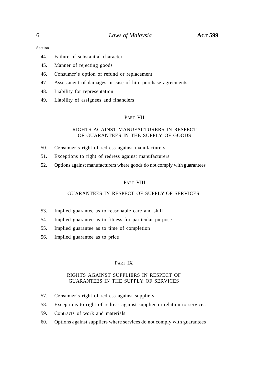Section

- 44. Failure of substantial character
- 45. Manner of rejecting goods
- 46. Consumer's option of refund or replacement
- 47. Assessment of damages in case of hire-purchase agreements
- 48. Liability for representation
- 49. Liability of assignees and financiers

#### PART VII

#### RIGHTS AGAINST MANUFACTURERS IN RESPECT OF GUARANTEES IN THE SUPPLY OF GOODS

- 50. Consumer's right of redress against manufacturers
- 51. Exceptions to right of redress against manufacturers
- 52. Options against manufacturers where goods do not comply with guarantees

#### PART VIII

## GUARANTEES IN RESPECT OF SUPPLY OF SERVICES

- 53. Implied guarantee as to reasonable care and skill
- 54. Implied guarantee as to fitness for particular purpose
- 55. Implied guarantee as to time of completion
- 56. Implied guarantee as to price

#### PART IX

#### RIGHTS AGAINST SUPPLIERS IN RESPECT OF GUARANTEES IN THE SUPPLY OF SERVICES

- 57. Consumer's right of redress against suppliers
- 58. Exceptions to right of redress against supplier in relation to services
- 59. Contracts of work and materials
- 60. Options against suppliers where services do not comply with guarantees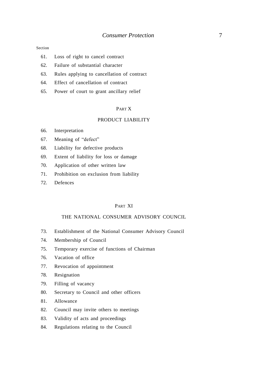#### Section

- 61. Loss of right to cancel contract
- 62. Failure of substantial character
- 63. Rules applying to cancellation of contract
- 64. Effect of cancellation of contract
- 65. Power of court to grant ancillary relief

#### PART X

#### PRODUCT LIABILITY

- 66. Interpretation
- 67. Meaning of "defect"
- 68. Liability for defective products
- 69. Extent of liability for loss or damage
- 70. Application of other written law
- 71. Prohibition on exclusion from liability
- 72. Defences

#### PART XI

#### THE NATIONAL CONSUMER ADVISORY COUNCIL

- 73. Establishment of the National Consumer Advisory Council
- 74. Membership of Council
- 75. Temporary exercise of functions of Chairman
- 76. Vacation of office
- 77. Revocation of appointment
- 78. Resignation
- 79. Filling of vacancy
- 80. Secretary to Council and other officers
- 81. Allowance
- 82. Council may invite others to meetings
- 83. Validity of acts and proceedings
- 84. Regulations relating to the Council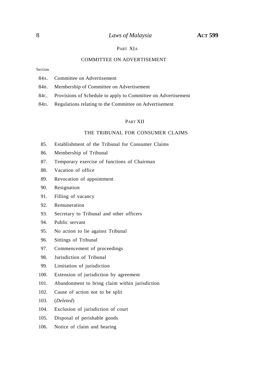#### PART XIA

## COMMITTEE ON ADVERTISEMENT

Section

- 84A. Committee on Advertisement
- 84B. Membership of Committee on Advertisement
- 84C. Provisions of Schedule to apply to Committee on Advertisement
- 84D. Regulations relating to the Committee on Advertisement

#### PART XII

#### THE TRIBUNAL FOR CONSUMER CLAIMS

- 85. Establishment of the Tribunal for Consumer Claims
- 86. Membership of Tribunal
- 87. Temporary exercise of functions of Chairman
- 88. Vacation of office
- 89. Revocation of appointment
- 90. Resignation
- 91. Filling of vacancy
- 92. Remuneration
- 93. Secretary to Tribunal and other officers
- 94. Public servant
- 95. No action to lie against Tribunal
- 96. Sittings of Tribunal
- 97. Commencement of proceedings
- 98. Jurisdiction of Tribunal
- 99. Limitation of jurisdiction
- 100. Extension of jurisdiction by agreement
- 101. Abandonment to bring claim within jurisdiction
- 102. Cause of action not to be split
- 103. (*Deleted*)
- 104. Exclusion of jurisdiction of court
- 105. Disposal of perishable goods
- 106. Notice of claim and hearing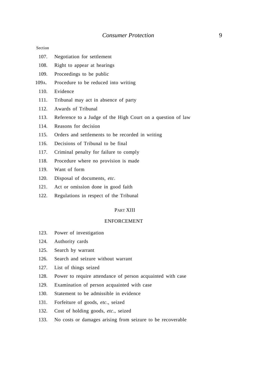#### Section

- 107. Negotiation for settlement
- 108. Right to appear at hearings
- 109. Proceedings to be public
- 109A. Procedure to be reduced into writing
	- 110. Evidence
	- 111. Tribunal may act in absence of party
	- 112. Awards of Tribunal
	- 113. Reference to a Judge of the High Court on a question of law
	- 114. Reasons for decision
	- 115. Orders and settlements to be recorded in writing
	- 116. Decisions of Tribunal to be final
	- 117. Criminal penalty for failure to comply
	- 118. Procedure where no provision is made
	- 119. Want of form
	- 120. Disposal of documents, *etc*.
	- 121. Act or omission done in good faith
	- 122. Regulations in respect of the Tribunal

#### PART XIII

#### ENFORCEMENT

- 123. Power of investigation
- 124. Authority cards
- 125. Search by warrant
- 126. Search and seizure without warrant
- 127. List of things seized
- 128. Power to require attendance of person acquainted with case
- 129. Examination of person acquainted with case
- 130. Statement to be admissible in evidence
- 131. Forfeiture of goods, *etc*., seized
- 132. Cost of holding goods, *etc*., seized
- 133. No costs or damages arising from seizure to be recoverable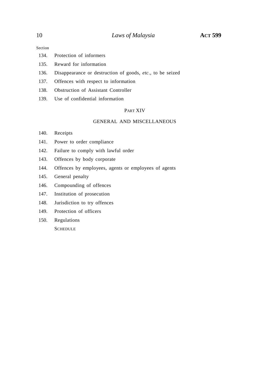Section

- 134. Protection of informers
- 135. Reward for information
- 136. Disappearance or destruction of goods, *etc*., to be seized
- 137. Offences with respect to information
- 138. Obstruction of Assistant Controller
- 139. Use of confidential information

## PART XIV

#### GENERAL AND MISCELLANEOUS

- 140. Receipts
- 141. Power to order compliance
- 142. Failure to comply with lawful order
- 143. Offences by body corporate
- 144. Offences by employees, agents or employees of agents
- 145. General penalty
- 146. Compounding of offences
- 147. Institution of prosecution
- 148. Jurisdiction to try offences
- 149. Protection of officers
- 150. Regulations **SCHEDULE**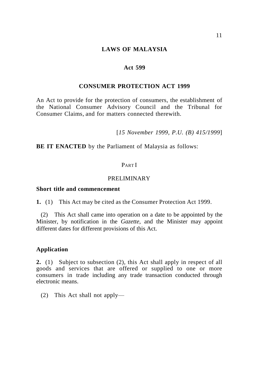## **Act 599**

## **CONSUMER PROTECTION ACT 1999**

An Act to provide for the protection of consumers, the establishment of the National Consumer Advisory Council and the Tribunal for Consumer Claims, and for matters connected therewith.

[*15 November 1999, P.U. (B) 415/1999*]

**BE IT ENACTED** by the Parliament of Malaysia as follows:

## PART I

## PRELIMINARY

## **Short title and commencement**

**1.** (1) This Act may be cited as the Consumer Protection Act 1999.

(2) This Act shall came into operation on a date to be appointed by the Minister, by notification in the *Gazette*, and the Minister may appoint different dates for different provisions of this Act.

## **Application**

**2.** (1) Subject to subsection (2), this Act shall apply in respect of all goods and services that are offered or supplied to one or more consumers in trade including any trade transaction conducted through electronic means.

(2) This Act shall not apply—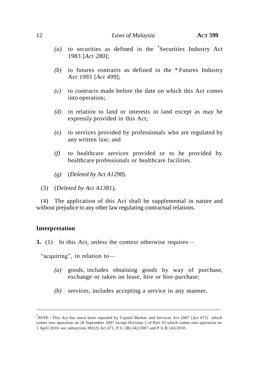- *(a)* to securities as defined in the \* Securities Industry Act 1983 [*Act 280*];
- *(b)* to futures contracts as defined in the \* Futures Industry Act 1993 [*Act 499*];
- *(c)* to contracts made before the date on which this Act comes into operation;
- *(d)* in relation to land or interests in land except as may be expressly provided in this Act;
- *(e)* to services provided by professionals who are regulated by any written law; and
- *(f)* to healthcare services provided or to be provided by healthcare professionals or healthcare facilities.
- *(g)* (*Deleted by Act A1298*).
- (3) (*Deleted by Act A1381*).

(4) The application of this Act shall be supplemental in nature and without prejudice to any other law regulating contractual relations.

## **Interpretation**

֧֪֚֞֝֬֝֬֝֬֝֬֝֬֝

**3.** (1) In this Act, unless the context otherwise requires—

"acquiring", in relation to-

- *(a)* goods, includes obtaining goods by way of purchase, exchange or taken on lease, hire or hire-purchase;
- *(b)* services, includes accepting a service in any manner,

<sup>\*</sup> *NOTE*—This Act has since been repealed by Capital Market and Services Act 2007 [*Act 671*] which comes into operation on 28 September 2007 except Division 2 of Part VI which comes into operation on 1 April 2010–*see* subsection 381(2) Act 671, P.U. (B) 342/2007 and P.U.B 143/2010.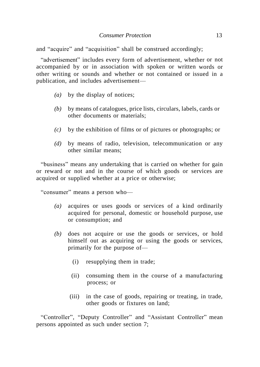and "acquire" and "acquisition" shall be construed accordingly;

"advertisement" includes every form of advertisement, whether or not accompanied by or in association with spoken or written words or other writing or sounds and whether or not contained or issued in a publication, and includes advertisement—

- *(a)* by the display of notices;
- *(b)* by means of catalogues, price lists, circulars, labels, cards or other documents or materials;
- *(c)* by the exhibition of films or of pictures or photographs; or
- *(d)* by means of radio, television, telecommunication or any other similar means;

"business" means any undertaking that is carried on whether for gain or reward or not and in the course of which goods or services are acquired or supplied whether at a price or otherwise;

"consumer" means a person who—

- *(a)* acquires or uses goods or services of a kind ordinarily acquired for personal, domestic or household purpose, use or consumption; and
- *(b)* does not acquire or use the goods or services, or hold himself out as acquiring or using the goods or services, primarily for the purpose of—
	- (i) resupplying them in trade;
	- (ii) consuming them in the course of a manufacturing process; or
	- (iii) in the case of goods, repairing or treating, in trade, other goods or fixtures on land;

"Controller", "Deputy Controller" and "Assistant Controller" mean persons appointed as such under section 7;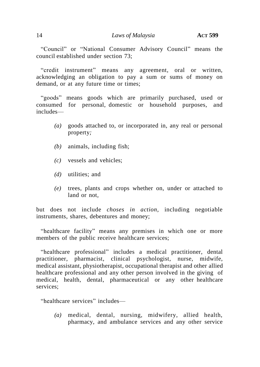―Council‖ or ―National Consumer Advisory Council‖ means the council established under section 73;

"credit instrument" means any agreement, oral or written, acknowledging an obligation to pay a sum or sums of money on demand, or at any future time or times;

"goods" means goods which are primarily purchased, used or consumed for personal, domestic or household purposes, and includes—

- *(a)* goods attached to, or incorporated in, any real or personal property*;*
- *(b)* animals, including fish;
- *(c)* vessels and vehicles;
- *(d)* utilities; and
- *(e)* trees, plants and crops whether on, under or attached to land or not*,*

but does not include *choses in action*, including negotiable instruments, shares, debentures and money;

"healthcare facility" means any premises in which one or more members of the public receive healthcare services;

"healthcare professional" includes a medical practitioner, dental practitioner, pharmacist, clinical psychologist, nurse, midwife, medical assistant, physiotherapist, occupational therapist and other allied healthcare professional and any other person involved in the giving of medical, health, dental, pharmaceutical or any other healthcare services;

"healthcare services" includes—

*(a)* medical, dental, nursing, midwifery, allied health, pharmacy, and ambulance services and any other service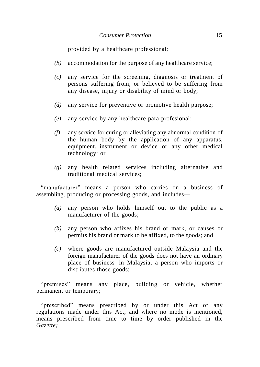provided by a healthcare professional;

- *(b)* accommodation for the purpose of any healthcare service;
- *(c)* any service for the screening, diagnosis or treatment of persons suffering from, or believed to be suffering from any disease, injury or disability of mind or body;
- *(d)* any service for preventive or promotive health purpose;
- *(e)* any service by any healthcare para-profesional;
- *(f)* any service for curing or alleviating any abnormal condition of the human body by the application of any apparatus, equipment, instrument or device or any other medical technology; or
- *(g)* any health related services including alternative and traditional medical services;

"manufacturer" means a person who carries on a business of assembling, producing or processing goods, and includes—

- *(a)* any person who holds himself out to the public as a manufacturer of the goods;
- *(b)* any person who affixes his brand or mark, or causes or permits his brand or mark to be affixed, to the goods; and
- *(c)* where goods are manufactured outside Malaysia and the foreign manufacturer of the goods does not have an ordinary place of business in Malaysia, a person who imports or distributes those goods;

"premises" means any place, building or vehicle, whether permanent or temporary;

"prescribed" means prescribed by or under this Act or any regulations made under this Act, and where no mode is mentioned, means prescribed from time to time by order published in the *Gazette;*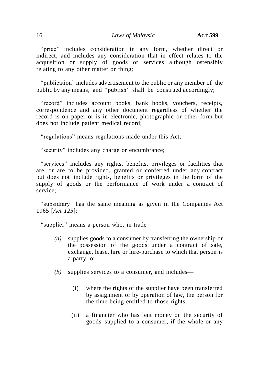"price" includes consideration in any form, whether direct or indirect, and includes any consideration that in effect relates to the acquisition or supply of goods or services although ostensibly relating to any other matter or thing;

"publication" includes advertisement to the public or any member of the public by any means, and "publish" shall be construed accordingly;

"record" includes account books, bank books, vouchers, receipts, correspondence and any other document regardless of whether the record is on paper or is in electronic, photographic or other form but does not include patient medical record;

"regulations" means regulations made under this Act;

"security" includes any charge or encumbrance;

"services" includes any rights, benefits, privileges or facilities that are or are to be provided, granted or conferred under any contract but does not include rights, benefits or privileges in the form of the supply of goods or the performance of work under a contract of service;

―subsidiary‖ has the same meaning as given in the Companies Act 1965 [*Act 125*];

"supplier" means a person who, in trade—

- *(a)* supplies goods to a consumer by transferring the ownership or the possession of the goods under a contract of sale, exchange, lease, hire or hire-purchase to which that person is a party; or
- *(b)* supplies services to a consumer, and includes—
	- (i) where the rights of the supplier have been transferred by assignment or by operation of law, the person for the time being entitled to those rights;
	- (ii) a financier who has lent money on the security of goods supplied to a consumer, if the whole or any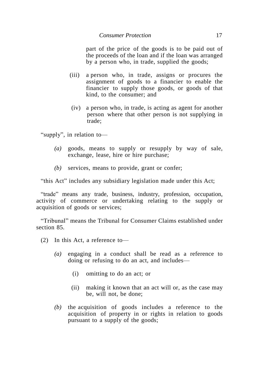part of the price of the goods is to be paid out of the proceeds of the loan and if the loan was arranged by a person who, in trade, supplied the goods;

- (iii) a person who, in trade, assigns or procures the assignment of goods to a financier to enable the financier to supply those goods, or goods of that kind, to the consumer; and
- (iv) a person who, in trade, is acting as agent for another person where that other person is not supplying in trade;

"supply", in relation to-

- *(a)* goods, means to supply or resupply by way of sale, exchange, lease, hire or hire purchase;
- *(b)* services, means to provide, grant or confer;

"this Act" includes any subsidiary legislation made under this Act;

"trade" means any trade, business, industry, profession, occupation, activity of commerce or undertaking relating to the supply or acquisition of goods or services;

―Tribunal‖ means the Tribunal for Consumer Claims established under section 85.

- (2) In this Act, a reference to—
	- *(a)* engaging in a conduct shall be read as a reference to doing or refusing to do an act, and includes—
		- (i) omitting to do an act; or
		- (ii) making it known that an act will or, as the case may be, will not, be done;
	- *(b)* the acquisition of goods includes a reference to the acquisition of property in or rights in relation to goods pursuant to a supply of the goods;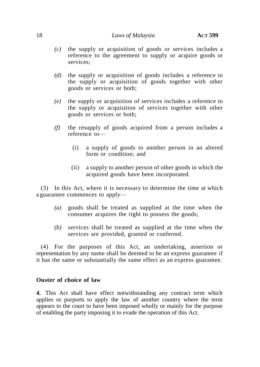- *(c)* the supply or acquisition of goods or services includes a reference to the agreement to supply or acquire goods or services;
- *(d)* the supply or acquisition of goods includes a reference to the supply or acquisition of goods together with other goods or services or both;
- *(e)* the supply or acquisition of services includes a reference to the supply or acquisition of services together with other goods or services or both;
- *(f)* the resupply of goods acquired from a person includes a reference to—
	- (i) a supply of goods to another person in an altered form or condition; and
	- (ii) a supply to another person of other goods in which the acquired goods have been incorporated.

(3) In this Act, where it is necessary to determine the time at which a guarantee commences to apply—

- *(a)* goods shall be treated as supplied at the time when the consumer acquires the right to possess the goods;
- *(b)* services shall be treated as supplied at the time when the services are provided, granted or conferred.

(4) For the purposes of this Act, an undertaking, assertion or representation by any name shall be deemed to be an express guarantee if it has the same or substantially the same effect as an express guarantee.

## **Ouster of choice of law**

**4.** This Act shall have effect notwithstanding any contract term which applies or purports to apply the law of another country where the term appears to the court to have been imposed wholly or mainly for the purpose of enabling the party imposing it to evade the operation of this Act.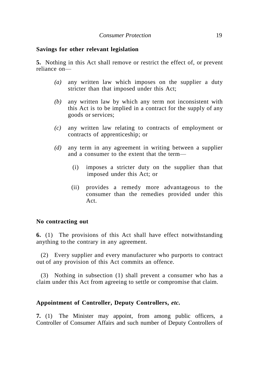## **Savings for other relevant legislation**

**5.** Nothing in this Act shall remove or restrict the effect of, or prevent reliance on—

- *(a)* any written law which imposes on the supplier a duty stricter than that imposed under this Act;
- *(b)* any written law by which any term not inconsistent with this Act is to be implied in a contract for the supply of any goods or services;
- *(c)* any written law relating to contracts of employment or contracts of apprenticeship; or
- *(d)* any term in any agreement in writing between a supplier and a consumer to the extent that the term—
	- (i) imposes a stricter duty on the supplier than that imposed under this Act; or
	- (ii) provides a remedy more advantageous to the consumer than the remedies provided under this Act.

## **No contracting out**

**6.** (1) The provisions of this Act shall have effect notwithstanding anything to the contrary in any agreement.

(2) Every supplier and every manufacturer who purports to contract out of any provision of this Act commits an offence.

(3) Nothing in subsection (1) shall prevent a consumer who has a claim under this Act from agreeing to settle or compromise that claim.

## **Appointment of Controller, Deputy Controllers,** *etc.*

**7.** (1) The Minister may appoint, from among public officers, a Controller of Consumer Affairs and such number of Deputy Controllers of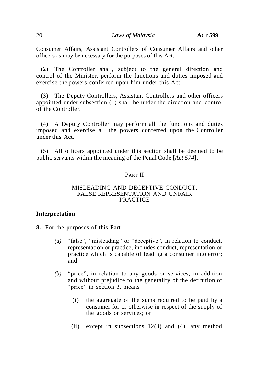Consumer Affairs, Assistant Controllers of Consumer Affairs and other officers as may be necessary for the purposes of this Act.

(2) The Controller shall, subject to the general direction and control of the Minister, perform the functions and duties imposed and exercise the powers conferred upon him under this Act.

(3) The Deputy Controllers, Assistant Controllers and other officers appointed under subsection (1) shall be under the direction and control of the Controller.

(4) A Deputy Controller may perform all the functions and duties imposed and exercise all the powers conferred upon the Controller under this Act.

(5) All officers appointed under this section shall be deemed to be public servants within the meaning of the Penal Code [*Act 574*].

## PART II

### MISLEADING AND DECEPTIVE CONDUCT, FALSE REPRESENTATION AND UNFAIR PRACTICE

## **Interpretation**

**8.** For the purposes of this Part—

- *(a)* "false", "misleading" or "deceptive", in relation to conduct, representation or practice, includes conduct, representation or practice which is capable of leading a consumer into error; and
- *(b)* "price", in relation to any goods or services, in addition and without prejudice to the generality of the definition of "price" in section 3, means—
	- (i) the aggregate of the sums required to be paid by a consumer for or otherwise in respect of the supply of the goods or services; or
	- (ii) except in subsections 12(3) and (4), any method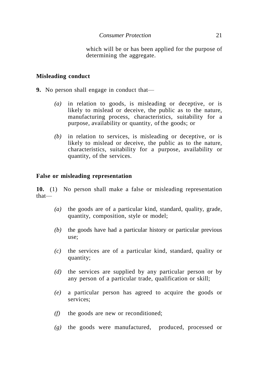which will be or has been applied for the purpose of determining the aggregate.

## **Misleading conduct**

**9.** No person shall engage in conduct that—

- *(a)* in relation to goods, is misleading or deceptive, or is likely to mislead or deceive, the public as to the nature, manufacturing process, characteristics, suitability for a purpose, availability or quantity, of the goods; or
- *(b)* in relation to services, is misleading or deceptive, or is likely to mislead or deceive, the public as to the nature, characteristics, suitability for a purpose, availability or quantity, of the services.

## **False or misleading representation**

**10.** (1) No person shall make a false or misleading representation that—

- *(a)* the goods are of a particular kind, standard, quality, grade, quantity, composition, style or model;
- *(b)* the goods have had a particular history or particular previous use;
- *(c)* the services are of a particular kind, standard, quality or quantity;
- *(d)* the services are supplied by any particular person or by any person of a particular trade, qualification or skill;
- *(e)* a particular person has agreed to acquire the goods or services;
- *(f)* the goods are new or reconditioned;
- *(g)* the goods were manufactured, produced, processed or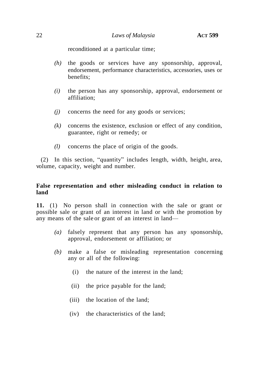reconditioned at a particular time;

- *(h)* the goods or services have any sponsorship, approval, endorsement, performance characteristics, accessories, uses or benefits;
- *(i)* the person has any sponsorship, approval, endorsement or affiliation;
- *(j)* concerns the need for any goods or services;
- *(k)* concerns the existence, exclusion or effect of any condition, guarantee, right or remedy; or
- *(l)* concerns the place of origin of the goods.

 $(2)$  In this section, "quantity" includes length, width, height, area, volume, capacity, weight and number.

## **False representation and other misleading conduct in relation to land**

**11.** (1) No person shall in connection with the sale or grant or possible sale or grant of an interest in land or with the promotion by any means of the sale or grant of an interest in land—

- *(a)* falsely represent that any person has any sponsorship, approval, endorsement or affiliation; or
- *(b)* make a false or misleading representation concerning any or all of the following:
	- (i) the nature of the interest in the land;
	- (ii) the price payable for the land;
	- (iii) the location of the land;
	- (iv) the characteristics of the land;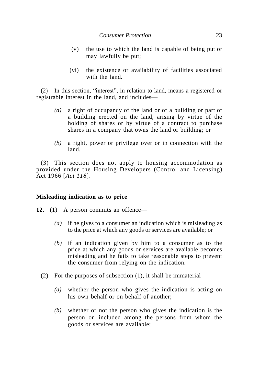- (v) the use to which the land is capable of being put or may lawfully be put;
- (vi) the existence or availability of facilities associated with the land.

(2) In this section, "interest", in relation to land, means a registered or registrable interest in the land, and includes—

- *(a)* a right of occupancy of the land or of a building or part of a building erected on the land, arising by virtue of the holding of shares or by virtue of a contract to purchase shares in a company that owns the land or building; or
- *(b)* a right, power or privilege over or in connection with the land.

(3) This section does not apply to housing accommodation as provided under the Housing Developers (Control and Licensing) Act 1966 [*Act 118*].

## **Misleading indication as to price**

- **12.** (1) A person commits an offence—
	- *(a)* if he gives to a consumer an indication which is misleading as to the price at which any goods or services are available; or
	- *(b)* if an indication given by him to a consumer as to the price at which any goods or services are available becomes misleading and he fails to take reasonable steps to prevent the consumer from relying on the indication.
	- (2) For the purposes of subsection (1), it shall be immaterial—
		- *(a)* whether the person who gives the indication is acting on his own behalf or on behalf of another;
		- *(b)* whether or not the person who gives the indication is the person or included among the persons from whom the goods or services are available;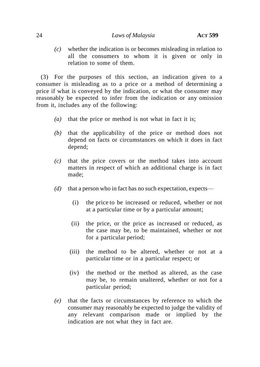*(c)* whether the indication is or becomes misleading in relation to all the consumers to whom it is given or only in relation to some of them.

(3) For the purposes of this section, an indication given to a consumer is misleading as to a price or a method of determining a price if what is conveyed by the indication, or what the consumer may reasonably be expected to infer from the indication or any omission from it, includes any of the following:

- *(a)* that the price or method is not what in fact it is;
- *(b)* that the applicability of the price or method does not depend on facts or circumstances on which it does in fact depend;
- *(c)* that the price covers or the method takes into account matters in respect of which an additional charge is in fact made;
- *(d)* that a person who in fact has no such expectation, expects—
	- (i) the price to be increased or reduced, whether or not at a particular time or by a particular amount;
	- (ii) the price, or the price as increased or reduced, as the case may be, to be maintained, whether or not for a particular period;
	- (iii) the method to be altered, whether or not at a particular time or in a particular respect; or
	- (iv) the method or the method as altered, as the case may be, to remain unaltered, whether or not for a particular period;
- *(e)* that the facts or circumstances by reference to which the consumer may reasonably be expected to judge the validity of any relevant comparison made or implied by the indication are not what they in fact are.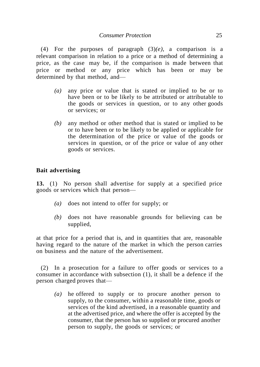(4) For the purposes of paragraph (3)*(e)*, a comparison is a relevant comparison in relation to a price or a method of determining a price, as the case may be, if the comparison is made between that price or method or any price which has been or may be determined by that method, and—

- *(a)* any price or value that is stated or implied to be or to have been or to be likely to be attributed or attributable to the goods or services in question, or to any other goods or services; or
- *(b)* any method or other method that is stated or implied to be or to have been or to be likely to be applied or applicable for the determination of the price or value of the goods or services in question, or of the price or value of any other goods or services.

## **Bait advertising**

**13.** (1) No person shall advertise for supply at a specified price goods or services which that person—

- *(a)* does not intend to offer for supply; or
- *(b)* does not have reasonable grounds for believing can be supplied,

at that price for a period that is, and in quantities that are, reasonable having regard to the nature of the market in which the person carries on business and the nature of the advertisement.

(2) In a prosecution for a failure to offer goods or services to a consumer in accordance with subsection (1), it shall be a defence if the person charged proves that—

*(a)* he offered to supply or to procure another person to supply, to the consumer, within a reasonable time, goods or services of the kind advertised, in a reasonable quantity and at the advertised price, and where the offer is accepted by the consumer, that the person has so supplied or procured another person to supply, the goods or services; or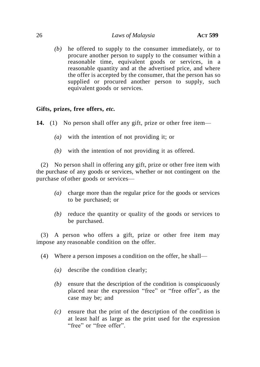*(b)* he offered to supply to the consumer immediately, or to procure another person to supply to the consumer within a reasonable time, equivalent goods or services, in a reasonable quantity and at the advertised price, and where the offer is accepted by the consumer, that the person has so supplied or procured another person to supply, such equivalent goods or services.

## **Gifts, prizes, free offers,** *etc.*

**14.** (1) No person shall offer any gift, prize or other free item—

- *(a)* with the intention of not providing it; or
- *(b)* with the intention of not providing it as offered.

(2) No person shall in offering any gift, prize or other free item with the purchase of any goods or services, whether or not contingent on the purchase of other goods or services—

- *(a)* charge more than the regular price for the goods or services to be purchased; or
- *(b)* reduce the quantity or quality of the goods or services to be purchased.

(3) A person who offers a gift, prize or other free item may impose any reasonable condition on the offer.

- (4) Where a person imposes a condition on the offer, he shall—
	- *(a)* describe the condition clearly;
	- *(b)* ensure that the description of the condition is conspicuously placed near the expression "free" or "free offer", as the case may be; and
	- *(c)* ensure that the print of the description of the condition is at least half as large as the print used for the expression "free" or "free offer"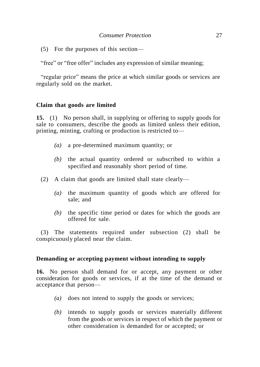(5) For the purposes of this section—

"free" or "free offer" includes any expression of similar meaning;

"regular price" means the price at which similar goods or services are regularly sold on the market.

## **Claim that goods are limited**

**15.** (1) No person shall, in supplying or offering to supply goods for sale to consumers, describe the goods as limited unless their edition, printing, minting, crafting or production is restricted to—

- *(a)* a pre-determined maximum quantity; or
- *(b)* the actual quantity ordered or subscribed to within a specified and reasonably short period of time.
- (2) A claim that goods are limited shall state clearly—
	- *(a)* the maximum quantity of goods which are offered for sale; and
	- *(b)* the specific time period or dates for which the goods are offered for sale.

(3) The statements required under subsection (2) shall be conspicuously placed near the claim.

## **Demanding or accepting payment without intending to supply**

**16.** No person shall demand for or accept, any payment or other consideration for goods or services, if at the time of the demand or acceptance that person—

- *(a)* does not intend to supply the goods or services;
- *(b)* intends to supply goods or services materially different from the goods or services in respect of which the payment or other consideration is demanded for or accepted; or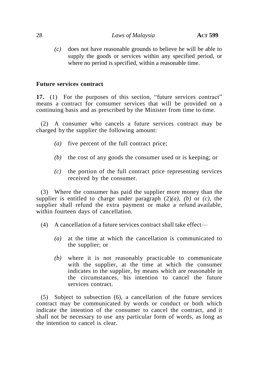*(c)* does not have reasonable grounds to believe he will be able to supply the goods or services within any specified period, or where no period is specified, within a reasonable time.

## **Future services contract**

**17.** (1) For the purposes of this section, "future services contract" means a contract for consumer services that will be provided on a continuing basis and as prescribed by the Minister from time to time.

(2) A consumer who cancels a future services contract may be charged by the supplier the following amount:

- *(a)* five percent of the full contract price;
- *(b)* the cost of any goods the consumer used or is keeping; or
- *(c)* the portion of the full contract price representing services received by the consumer.

(3) Where the consumer has paid the supplier more money than the supplier is entitled to charge under paragraph  $(2)(a)$ ,  $(b)$  or  $(c)$ , the supplier shall refund the extra payment or make a refund available, within fourteen days of cancellation.

- (4) A cancellation of a future services contract shall take effect—
	- *(a)* at the time at which the cancellation is communicated to the supplier; or
	- *(b)* where it is not reasonably practicable to communicate with the supplier, at the time at which the consumer indicates to the supplier, by means which are reasonable in the circumstances, his intention to cancel the future services contract.

(5) Subject to subsection (6), a cancellation of the future services contract may be communicated by words or conduct or both which indicate the intention of the consumer to cancel the contract, and it shall not be necessary to use any particular form of words, as long as the intention to cancel is clear.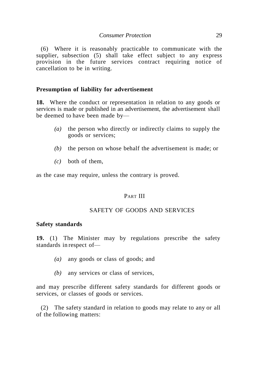(6) Where it is reasonably practicable to communicate with the supplier, subsection (5) shall take effect subject to any express provision in the future services contract requiring notice of cancellation to be in writing.

## **Presumption of liability for advertisement**

**18.** Where the conduct or representation in relation to any goods or services is made or published in an advertisement, the advertisement shall be deemed to have been made by—

- *(a)* the person who directly or indirectly claims to supply the goods or services;
- *(b)* the person on whose behalf the advertisement is made; or
- *(c)* both of them,

as the case may require, unless the contrary is proved.

### PART III

## SAFETY OF GOODS AND SERVICES

#### **Safety standards**

**19.** (1) The Minister may by regulations prescribe the safety standards in respect of—

- *(a)* any goods or class of goods; and
- *(b)* any services or class of services,

and may prescribe different safety standards for different goods or services, or classes of goods or services.

(2) The safety standard in relation to goods may relate to any or all of the following matters: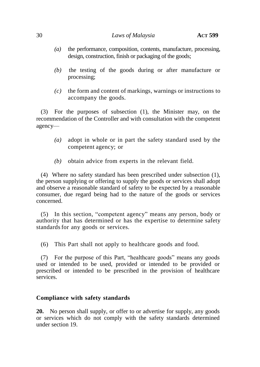- *(a)* the performance, composition, contents, manufacture, processing, design, construction, finish or packaging of the goods;
- *(b)* the testing of the goods during or after manufacture or processing;
- *(c)* the form and content of markings, warnings or instructions to accompany the goods.

(3) For the purposes of subsection (1), the Minister may, on the recommendation of the Controller and with consultation with the competent agency—

- *(a)* adopt in whole or in part the safety standard used by the competent agency; or
- *(b)* obtain advice from experts in the relevant field.

(4) Where no safety standard has been prescribed under subsection (1), the person supplying or offering to supply the goods or services shall adopt and observe a reasonable standard of safety to be expected by a reasonable consumer, due regard being had to the nature of the goods or services concerned.

(5) In this section, "competent agency" means any person, body or authority that has determined or has the expertise to determine safety standards for any goods or services.

(6) This Part shall not apply to healthcare goods and food.

(7) For the purpose of this Part, "healthcare goods" means any goods used or intended to be used, provided or intended to be provided or prescribed or intended to be prescribed in the provision of healthcare services.

## **Compliance with safety standards**

**20.** No person shall supply, or offer to or advertise for supply, any goods or services which do not comply with the safety standards determined under section 19.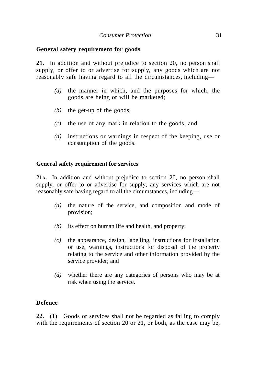## **General safety requirement for goods**

**21.** In addition and without prejudice to section 20, no person shall supply, or offer to or advertise for supply, any goods which are not reasonably safe having regard to all the circumstances, including—

- *(a)* the manner in which, and the purposes for which, the goods are being or will be marketed;
- *(b)* the get-up of the goods;
- *(c)* the use of any mark in relation to the goods; and
- *(d)* instructions or warnings in respect of the keeping, use or consumption of the goods.

## **General safety requirement for services**

**21A.** In addition and without prejudice to section 20, no person shall supply, or offer to or advertise for supply, any services which are not reasonably safe having regard to all the circumstances, including—

- *(a)* the nature of the service, and composition and mode of provision;
- *(b)* its effect on human life and health, and property;
- *(c)* the appearance, design, labelling, instructions for installation or use, warnings, instructions for disposal of the property relating to the service and other information provided by the service provider; and
- *(d)* whether there are any categories of persons who may be at risk when using the service.

## **Defence**

**22.** (1) Goods or services shall not be regarded as failing to comply with the requirements of section 20 or 21, or both, as the case may be,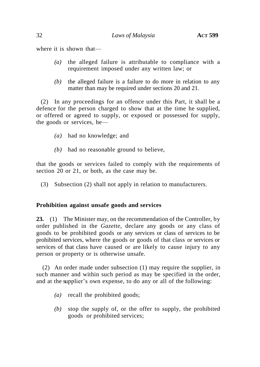where it is shown that—

- *(a)* the alleged failure is attributable to compliance with a requirement imposed under any written law; or
- *(b)* the alleged failure is a failure to do more in relation to any matter than may be required under sections 20 and 21.

(2) In any proceedings for an offence under this Part, it shall be a defence for the person charged to show that at the time he supplied, or offered or agreed to supply, or exposed or possessed for supply, the goods or services, he—

- *(a)* had no knowledge; and
- *(b)* had no reasonable ground to believe,

that the goods or services failed to comply with the requirements of section 20 or 21, or both, as the case may be.

(3) Subsection (2) shall not apply in relation to manufacturers.

## **Prohibition against unsafe goods and services**

**23.** (1) The Minister may, on the recommendation of the Controller, by order published in the *Gazette*, declare any goods or any class of goods to be prohibited goods or any services or class of services to be prohibited services, where the goods or goods of that class or services or services of that class have caused or are likely to cause injury to any person or property or is otherwise unsafe.

(2) An order made under subsection (1) may require the supplier, in such manner and within such period as may be specified in the order, and at the supplier's own expense, to do any or all of the following:

- *(a)* recall the prohibited goods;
- *(b)* stop the supply of, or the offer to supply, the prohibited goods or prohibited services;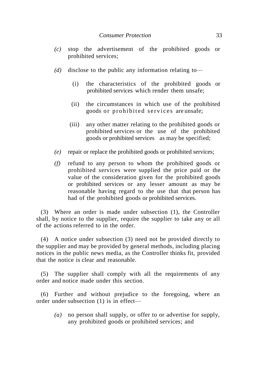- *(c)* stop the advertisement of the prohibited goods or prohibited services;
- *(d)* disclose to the public any information relating to—
	- (i) the characteristics of the prohibited goods or prohibited services which render them unsafe;
	- (ii) the circumstances in which use of the prohibited goods or prohibited services are unsafe;
	- (iii) any other matter relating to the prohibited goods or prohibited services or the use of the prohibited goods or prohibited services as may be specified;
- *(e)* repair or replace the prohibited goods or prohibited services;
- *(f)* refund to any person to whom the prohibited goods or prohibited services were supplied the price paid or the value of the consideration given for the prohibited goods or prohibited services or any lesser amount as may be reasonable having regard to the use that that person has had of the prohibited goods or prohibited services.

(3) Where an order is made under subsection (1), the Controller shall, by notice to the supplier, require the supplier to take any or all of the actions referred to in the order.

(4) A notice under subsection (3) need not be provided directly to the supplier and may be provided by general methods, including placing notices in the public news media, as the Controller thinks fit, provided that the notice is clear and reasonable.

(5) The supplier shall comply with all the requirements of any order and notice made under this section.

(6) Further and without prejudice to the foregoing, where an order under subsection (1) is in effect—

*(a)* no person shall supply, or offer to or advertise for supply, any prohibited goods or prohibited services; and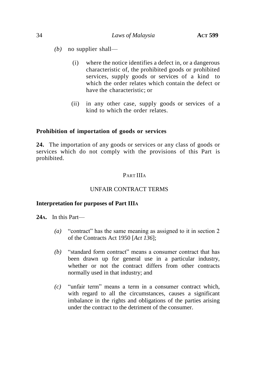- *(b)* no supplier shall—
	- (i) where the notice identifies a defect in, or a dangerous characteristic of, the prohibited goods or prohibited services, supply goods or services of a kind to which the order relates which contain the defect or have the characteristic; or
	- (ii) in any other case, supply goods or services of a kind to which the order relates.

## **Prohibition of importation of goods or services**

**24.** The importation of any goods or services or any class of goods or services which do not comply with the provisions of this Part is prohibited.

## PART IIIA

## UNFAIR CONTRACT TERMS

### **Interpretation for purposes of Part IIIA**

**24A.** In this Part—

- $(a)$  "contract" has the same meaning as assigned to it in section 2 of the Contracts Act 1950 [*Act 136*];
- *(b)* "standard form contract" means a consumer contract that has been drawn up for general use in a particular industry, whether or not the contract differs from other contracts normally used in that industry; and
- $(c)$  "unfair term" means a term in a consumer contract which, with regard to all the circumstances, causes a significant imbalance in the rights and obligations of the parties arising under the contract to the detriment of the consumer.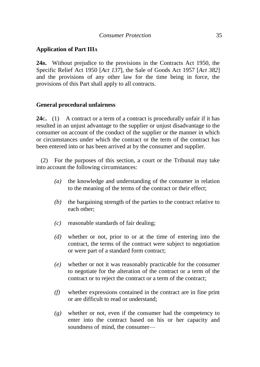## **Application of Part IIIA**

**24B.** Without prejudice to the provisions in the Contracts Act 1950, the Specific Relief Act 1950 [*Act 137*], the Sale of Goods Act 1957 [*Act 382*] and the provisions of any other law for the time being in force, the provisions of this Part shall apply to all contracts.

## **General procedural unfairness**

**24C.** (1) A contract or a term of a contract is procedurally unfair if it has resulted in an unjust advantage to the supplier or unjust disadvantage to the consumer on account of the conduct of the supplier or the manner in which or circumstances under which the contract or the term of the contract has been entered into or has been arrived at by the consumer and supplier.

(2) For the purposes of this section, a court or the Tribunal may take into account the following circumstances:

- *(a)* the knowledge and understanding of the consumer in relation to the meaning of the terms of the contract or their effect;
- *(b)* the bargaining strength of the parties to the contract relative to each other;
- *(c)* reasonable standards of fair dealing;
- *(d)* whether or not, prior to or at the time of entering into the contract, the terms of the contract were subject to negotiation or were part of a standard form contract;
- *(e)* whether or not it was reasonably practicable for the consumer to negotiate for the alteration of the contract or a term of the contract or to reject the contract or a term of the contract;
- *(f)* whether expressions contained in the contract are in fine print or are difficult to read or understand;
- *(g)* whether or not, even if the consumer had the competency to enter into the contract based on his or her capacity and soundness of mind, the consumer—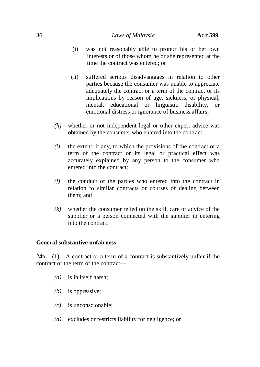- (i) was not reasonably able to protect his or her own interests or of those whom he or she represented at the time the contract was entered; or
- (ii) suffered serious disadvantages in relation to other parties because the consumer was unable to appreciate adequately the contract or a term of the contract or its implications by reason of age, sickness, or physical, mental, educational or linguistic disability, or emotional distress or ignorance of business affairs;
- *(h)* whether or not independent legal or other expert advice was obtained by the consumer who entered into the contract;
- *(i)* the extent, if any, to which the provisions of the contract or a term of the contract or its legal or practical effect was accurately explained by any person to the consumer who entered into the contract;
- *(j)* the conduct of the parties who entered into the contract in relation to similar contracts or courses of dealing between them; and
- *(k)* whether the consumer relied on the skill, care or advice of the supplier or a person connected with the supplier in entering into the contract.

## **General substantive unfairness**

**24D.** (1) A contract or a term of a contract is substantively unfair if the contract or the term of the contract—

- *(a)* is in itself harsh;
- *(b)* is oppressive;
- *(c)* is unconscionable;
- *(d)* excludes or restricts liability for negligence; or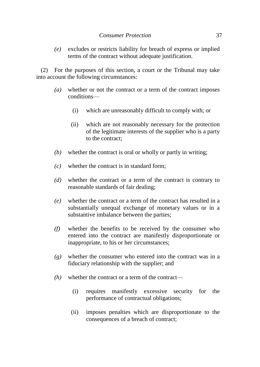*(e)* excludes or restricts liability for breach of express or implied terms of the contract without adequate justification.

(2) For the purposes of this section, a court or the Tribunal may take into account the following circumstances:

- *(a)* whether or not the contract or a term of the contract imposes conditions—
	- (i) which are unreasonably difficult to comply with; or
	- (ii) which are not reasonably necessary for the protection of the legitimate interests of the supplier who is a party to the contract;
- *(b)* whether the contract is oral or wholly or partly in writing;
- *(c)* whether the contract is in standard form;
- *(d)* whether the contract or a term of the contract is contrary to reasonable standards of fair dealing;
- *(e)* whether the contract or a term of the contract has resulted in a substantially unequal exchange of monetary values or in a substantive imbalance between the parties;
- *(f)* whether the benefits to be received by the consumer who entered into the contract are manifestly disproportionate or inappropriate, to his or her circumstances;
- *(g)* whether the consumer who entered into the contract was in a fiduciary relationship with the supplier; and
- *(h)* whether the contract or a term of the contract—
	- (i) requires manifestly excessive security for the performance of contractual obligations;
	- (ii) imposes penalties which are disproportionate to the consequences of a breach of contract;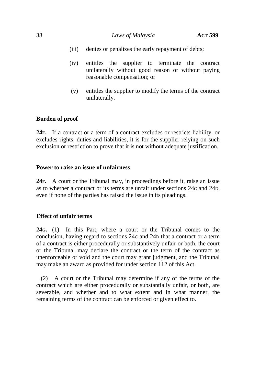- (iii) denies or penalizes the early repayment of debts;
- (iv) entitles the supplier to terminate the contract unilaterally without good reason or without paying reasonable compensation; or
- (v) entitles the supplier to modify the terms of the contract unilaterally.

### **Burden of proof**

**24E.** If a contract or a term of a contract excludes or restricts liability, or excludes rights, duties and liabilities, it is for the supplier relying on such exclusion or restriction to prove that it is not without adequate justification.

### **Power to raise an issue of unfairness**

**24F.** A court or the Tribunal may, in proceedings before it, raise an issue as to whether a contract or its terms are unfair under sections 24C and 24D, even if none of the parties has raised the issue in its pleadings.

### **Effect of unfair terms**

**24G.** (1) In this Part, where a court or the Tribunal comes to the conclusion, having regard to sections 24C and 24D that a contract or a term of a contract is either procedurally or substantively unfair or both, the court or the Tribunal may declare the contract or the term of the contract as unenforceable or void and the court may grant judgment, and the Tribunal may make an award as provided for under section 112 of this Act.

(2) A court or the Tribunal may determine if any of the terms of the contract which are either procedurally or substantially unfair, or both, are severable, and whether and to what extent and in what manner, the remaining terms of the contract can be enforced or given effect to.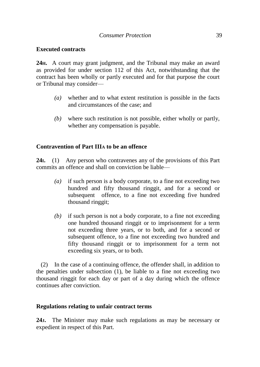## **Executed contracts**

**24H.** A court may grant judgment, and the Tribunal may make an award as provided for under section 112 of this Act, notwithstanding that the contract has been wholly or partly executed and for that purpose the court or Tribunal may consider—

- *(a)* whether and to what extent restitution is possible in the facts and circumstances of the case; and
- *(b)* where such restitution is not possible, either wholly or partly, whether any compensation is payable.

# **Contravention of Part IIIA to be an offence**

**24I.** (1) Any person who contravenes any of the provisions of this Part commits an offence and shall on conviction be liable—

- *(a)* if such person is a body corporate, to a fine not exceeding two hundred and fifty thousand ringgit, and for a second or subsequent offence, to a fine not exceeding five hundred thousand ringgit;
- *(b)* if such person is not a body corporate, to a fine not exceeding one hundred thousand ringgit or to imprisonment for a term not exceeding three years, or to both, and for a second or subsequent offence, to a fine not exceeding two hundred and fifty thousand ringgit or to imprisonment for a term not exceeding six years, or to both.

(2) In the case of a continuing offence, the offender shall, in addition to the penalties under subsection (1), be liable to a fine not exceeding two thousand ringgit for each day or part of a day during which the offence continues after conviction.

### **Regulations relating to unfair contract terms**

**24J.** The Minister may make such regulations as may be necessary or expedient in respect of this Part.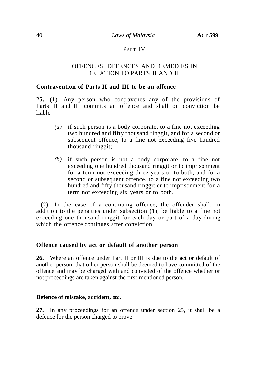## PART IV

# OFFENCES, DEFENCES AND REMEDIES IN RELATION TO PARTS II AND III

#### **Contravention of Parts II and III to be an offence**

**25.** (1) Any person who contravenes any of the provisions of Parts II and III commits an offence and shall on conviction be liable—

- *(a)* if such person is a body corporate, to a fine not exceeding two hundred and fifty thousand ringgit, and for a second or subsequent offence, to a fine not exceeding five hundred thousand ringgit;
- *(b)* if such person is not a body corporate, to a fine not exceeding one hundred thousand ringgit or to imprisonment for a term not exceeding three years or to both, and for a second or subsequent offence, to a fine not exceeding two hundred and fifty thousand ringgit or to imprisonment for a term not exceeding six years or to both.

(2) In the case of a continuing offence, the offender shall, in addition to the penalties under subsection (1), be liable to a fine not exceeding one thousand ringgit for each day or part of a day during which the offence continues after conviction.

#### **Offence caused by act or default of another person**

**26.** Where an offence under Part II or III is due to the act or default of another person, that other person shall be deemed to have committed of the offence and may be charged with and convicted of the offence whether or not proceedings are taken against the first-mentioned person.

#### **Defence of mistake, accident,** *etc***.**

**27.** In any proceedings for an offence under section 25, it shall be a defence for the person charged to prove—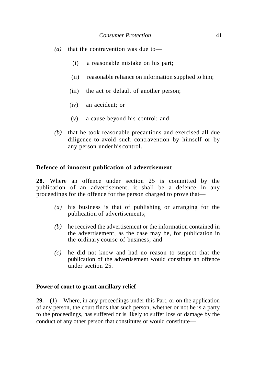- *(a)* that the contravention was due to—
	- (i) a reasonable mistake on his part;
	- (ii) reasonable reliance on information supplied to him;
	- (iii) the act or default of another person;
	- (iv) an accident; or
	- (v) a cause beyond his control; and
- *(b)* that he took reasonable precautions and exercised all due diligence to avoid such contravention by himself or by any person under his control.

# **Defence of innocent publication of advertisement**

**28.** Where an offence under section 25 is committed by the publication of an advertisement, it shall be a defence in any proceedings for the offence for the person charged to prove that—

- *(a)* his business is that of publishing or arranging for the publication of advertisements;
- *(b)* he received the advertisement or the information contained in the advertisement, as the case may be, for publication in the ordinary course of business; and
- *(c)* he did not know and had no reason to suspect that the publication of the advertisement would constitute an offence under section 25.

### **Power of court to grant ancillary relief**

**29.** (1) Where, in any proceedings under this Part, or on the application of any person, the court finds that such person, whether or not he is a party to the proceedings, has suffered or is likely to suffer loss or damage by the conduct of any other person that constitutes or would constitute—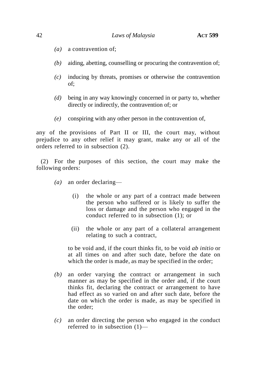- *(a)* a contravention of;
- *(b)* aiding, abetting, counselling or procuring the contravention of;
- *(c)* inducing by threats, promises or otherwise the contravention of;
- *(d)* being in any way knowingly concerned in or party to, whether directly or indirectly, the contravention of; or
- *(e)* conspiring with any other person in the contravention of,

any of the provisions of Part II or III, the court may, without prejudice to any other relief it may grant, make any or all of the orders referred to in subsection (2).

(2) For the purposes of this section, the court may make the following orders:

- *(a)* an order declaring—
	- (i) the whole or any part of a contract made between the person who suffered or is likely to suffer the loss or damage and the person who engaged in the conduct referred to in subsection (1); or
	- (ii) the whole or any part of a collateral arrangement relating to such a contract,

to be void and, if the court thinks fit, to be void *ab initio* or at all times on and after such date, before the date on which the order is made, as may be specified in the order;

- *(b)* an order varying the contract or arrangement in such manner as may be specified in the order and, if the court thinks fit, declaring the contract or arrangement to have had effect as so varied on and after such date, before the date on which the order is made, as may be specified in the order;
- *(c)* an order directing the person who engaged in the conduct referred to in subsection (1)—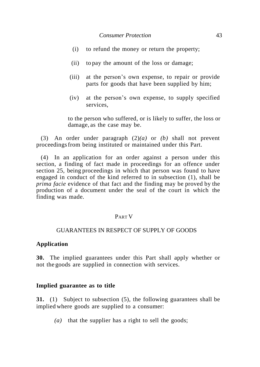- (i) to refund the money or return the property;
- (ii) to pay the amount of the loss or damage;
- (iii) at the person's own expense, to repair or provide parts for goods that have been supplied by him;
- (iv) at the person's own expense, to supply specified services,

to the person who suffered, or is likely to suffer, the loss or damage, as the case may be.

(3) An order under paragraph (2)*(a)* or *(b)* shall not prevent proceedingsfrom being instituted or maintained under this Part.

(4) In an application for an order against a person under this section, a finding of fact made in proceedings for an offence under section 25, being proceedings in which that person was found to have engaged in conduct of the kind referred to in subsection (1), shall be *prima facie* evidence of that fact and the finding may be proved by the production of a document under the seal of the court in which the finding was made.

### PART V

### GUARANTEES IN RESPECT OF SUPPLY OF GOODS

### **Application**

**30.** The implied guarantees under this Part shall apply whether or not the goods are supplied in connection with services.

#### **Implied guarantee as to title**

**31.** (1) Subject to subsection (5), the following guarantees shall be implied where goods are supplied to a consumer:

*(a)* that the supplier has a right to sell the goods;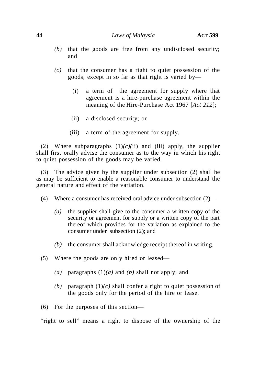- *(b)* that the goods are free from any undisclosed security; and
- *(c)* that the consumer has a right to quiet possession of the goods, except in so far as that right is varied by—
	- (i) a term of the agreement for supply where that agreement is a hire-purchase agreement within the meaning of the Hire-Purchase Act 1967 [*Act 212*];
	- (ii) a disclosed security; or
	- (iii) a term of the agreement for supply.

(2) Where subparagraphs  $(1)(c)(ii)$  and  $(iii)$  apply, the supplier shall first orally advise the consumer as to the way in which his right to quiet possession of the goods may be varied.

(3) The advice given by the supplier under subsection (2) shall be as may be sufficient to enable a reasonable consumer to understand the general nature and effect of the variation.

- (4) Where a consumer has received oral advice under subsection (2)—
	- *(a)* the supplier shall give to the consumer a written copy of the security or agreement for supply or a written copy of the part thereof which provides for the variation as explained to the consumer under subsection (2); and
	- *(b)* the consumer shall acknowledge receipt thereof in writing.
- (5) Where the goods are only hired or leased—
	- *(a)* paragraphs (1)*(a)* and *(b)* shall not apply; and
	- *(b)* paragraph (1)*(c)* shall confer a right to quiet possession of the goods only for the period of the hire or lease.
- (6) For the purposes of this section—

"right to sell" means a right to dispose of the ownership of the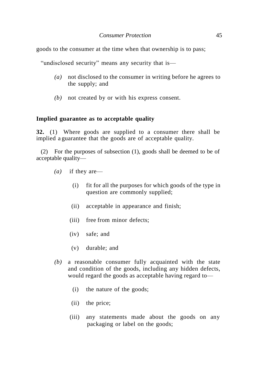goods to the consumer at the time when that ownership is to pass;

"undisclosed security" means any security that is—

- *(a)* not disclosed to the consumer in writing before he agrees to the supply; and
- *(b)* not created by or with his express consent.

#### **Implied guarantee as to acceptable quality**

**32.** (1) Where goods are supplied to a consumer there shall be implied a guarantee that the goods are of acceptable quality.

(2) For the purposes of subsection (1), goods shall be deemed to be of acceptable quality—

- *(a)* if they are—
	- (i) fit for all the purposes for which goods of the type in question are commonly supplied;
	- (ii) acceptable in appearance and finish;
	- (iii) free from minor defects;
	- (iv) safe; and
	- (v) durable; and
- *(b)* a reasonable consumer fully acquainted with the state and condition of the goods, including any hidden defects, would regard the goods as acceptable having regard to—
	- (i) the nature of the goods;
	- (ii) the price;
	- (iii) any statements made about the goods on any packaging or label on the goods;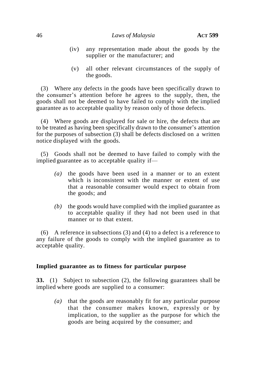- (iv) any representation made about the goods by the supplier or the manufacturer; and
- (v) all other relevant circumstances of the supply of the goods.

(3) Where any defects in the goods have been specifically drawn to the consumer's attention before he agrees to the supply, then, the goods shall not be deemed to have failed to comply with the implied guarantee as to acceptable quality by reason only of those defects.

(4) Where goods are displayed for sale or hire, the defects that are to be treated as having been specifically drawn to the consumer's attention for the purposes of subsection (3) shall be defects disclosed on a written notice displayed with the goods.

(5) Goods shall not be deemed to have failed to comply with the implied guarantee as to acceptable quality if—

- *(a)* the goods have been used in a manner or to an extent which is inconsistent with the manner or extent of use that a reasonable consumer would expect to obtain from the goods; and
- *(b)* the goods would have complied with the implied guarantee as to acceptable quality if they had not been used in that manner or to that extent.

(6) A reference in subsections (3) and (4) to a defect is a reference to any failure of the goods to comply with the implied guarantee as to acceptable quality.

### **Implied guarantee as to fitness for particular purpose**

**33.** (1) Subject to subsection (2), the following guarantees shall be implied where goods are supplied to a consumer:

*(a)* that the goods are reasonably fit for any particular purpose that the consumer makes known, expressly or by implication, to the supplier as the purpose for which the goods are being acquired by the consumer; and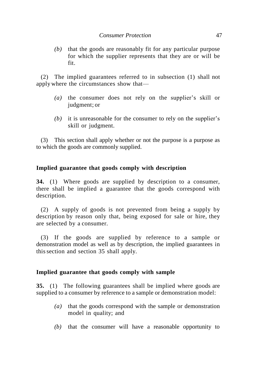*(b)* that the goods are reasonably fit for any particular purpose for which the supplier represents that they are or will be fit.

(2) The implied guarantees referred to in subsection (1) shall not apply where the circumstances show that—

- *(a)* the consumer does not rely on the supplier's skill or judgment; or
- *(b)* it is unreasonable for the consumer to rely on the supplier's skill or judgment.

(3) This section shall apply whether or not the purpose is a purpose as to which the goods are commonly supplied.

### **Implied guarantee that goods comply with description**

**34.** (1) Where goods are supplied by description to a consumer, there shall be implied a guarantee that the goods correspond with description.

(2) A supply of goods is not prevented from being a supply by description by reason only that, being exposed for sale or hire, they are selected by a consumer.

(3) If the goods are supplied by reference to a sample or demonstration model as well as by description, the implied guarantees in thissection and section 35 shall apply.

### **Implied guarantee that goods comply with sample**

**35.** (1) The following guarantees shall be implied where goods are supplied to a consumer by reference to a sample or demonstration model:

- *(a)* that the goods correspond with the sample or demonstration model in quality; and
- *(b)* that the consumer will have a reasonable opportunity to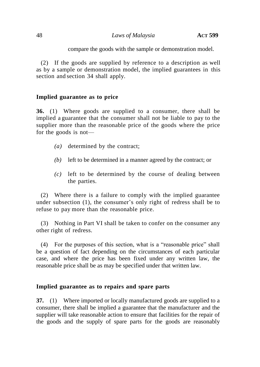compare the goods with the sample or demonstration model.

(2) If the goods are supplied by reference to a description as well as by a sample or demonstration model, the implied guarantees in this section and section 34 shall apply.

### **Implied guarantee as to price**

**36.** (1) Where goods are supplied to a consumer, there shall be implied a guarantee that the consumer shall not be liable to pay to the supplier more than the reasonable price of the goods where the price for the goods is not—

- *(a)* determined by the contract;
- *(b)* left to be determined in a manner agreed by the contract; or
- *(c)* left to be determined by the course of dealing between the parties.

(2) Where there is a failure to comply with the implied guarantee under subsection (1), the consumer's only right of redress shall be to refuse to pay more than the reasonable price.

(3) Nothing in Part VI shall be taken to confer on the consumer any other right of redress.

(4) For the purposes of this section, what is a "reasonable price" shall be a question of fact depending on the circumstances of each particular case, and where the price has been fixed under any written law, the reasonable price shall be as may be specified under that written law.

### **Implied guarantee as to repairs and spare parts**

**37.** (1) Where imported or locally manufactured goods are supplied to a consumer, there shall be implied a guarantee that the manufacturer and the supplier will take reasonable action to ensure that facilities for the repair of the goods and the supply of spare parts for the goods are reasonably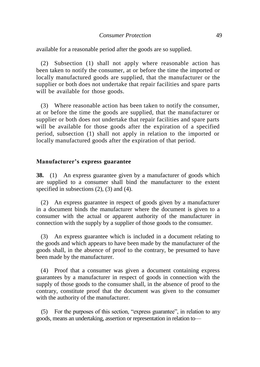available for a reasonable period after the goods are so supplied.

(2) Subsection (1) shall not apply where reasonable action has been taken to notify the consumer, at or before the time the imported or locally manufactured goods are supplied, that the manufacturer or the supplier or both does not undertake that repair facilities and spare parts will be available for those goods.

(3) Where reasonable action has been taken to notify the consumer, at or before the time the goods are supplied, that the manufacturer or supplier or both does not undertake that repair facilities and spare parts will be available for those goods after the expiration of a specified period, subsection (1) shall not apply in relation to the imported or locally manufactured goods after the expiration of that period.

#### **Manufacturer's express guarantee**

**38.** (1) An express guarantee given by a manufacturer of goods which are supplied to a consumer shall bind the manufacturer to the extent specified in subsections  $(2)$ ,  $(3)$  and  $(4)$ .

(2) An express guarantee in respect of goods given by a manufacturer in a document binds the manufacturer where the document is given to a consumer with the actual or apparent authority of the manufacturer in connection with the supply by a supplier of those goods to the consumer.

(3) An express guarantee which is included in a document relating to the goods and which appears to have been made by the manufacturer of the goods shall, in the absence of proof to the contrary, be presumed to have been made by the manufacturer.

(4) Proof that a consumer was given a document containing express guarantees by a manufacturer in respect of goods in connection with the supply of those goods to the consumer shall, in the absence of proof to the contrary, constitute proof that the document was given to the consumer with the authority of the manufacturer.

 $(5)$  For the purposes of this section, "express guarantee", in relation to any goods, means an undertaking, assertion or representation in relation to—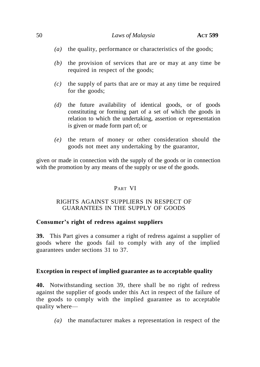- *(a)* the quality, performance or characteristics of the goods;
- *(b)* the provision of services that are or may at any time be required in respect of the goods;
- *(c)* the supply of parts that are or may at any time be required for the goods;
- *(d)* the future availability of identical goods, or of goods constituting or forming part of a set of which the goods in relation to which the undertaking, assertion or representation is given or made form part of; or
- *(e)* the return of money or other consideration should the goods not meet any undertaking by the guarantor,

given or made in connection with the supply of the goods or in connection with the promotion by any means of the supply or use of the goods.

# PART VI

# RIGHTS AGAINST SUPPLIERS IN RESPECT OF GUARANTEES IN THE SUPPLY OF GOODS

# **Consumer's right of redress against suppliers**

**39.** This Part gives a consumer a right of redress against a supplier of goods where the goods fail to comply with any of the implied guarantees under sections 31 to 37.

# **Exception in respect of implied guarantee as to acceptable quality**

**40.** Notwithstanding section 39, there shall be no right of redress against the supplier of goods under this Act in respect of the failure of the goods to comply with the implied guarantee as to acceptable quality where—

*(a)* the manufacturer makes a representation in respect of the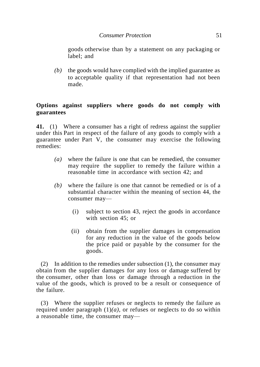goods otherwise than by a statement on any packaging or label; and

*(b)* the goods would have complied with the implied guarantee as to acceptable quality if that representation had not been made.

# **Options against suppliers where goods do not comply with guarantees**

**41.** (1) Where a consumer has a right of redress against the supplier under this Part in respect of the failure of any goods to comply with a guarantee under Part V, the consumer may exercise the following remedies:

- *(a)* where the failure is one that can be remedied, the consumer may require the supplier to remedy the failure within a reasonable time in accordance with section 42; and
- *(b)* where the failure is one that cannot be remedied or is of a substantial character within the meaning of section 44, the consumer may—
	- (i) subject to section 43, reject the goods in accordance with section 45; or
	- (ii) obtain from the supplier damages in compensation for any reduction in the value of the goods below the price paid or payable by the consumer for the goods.

(2) In addition to the remedies under subsection  $(1)$ , the consumer may obtain from the supplier damages for any loss or damage suffered by the consumer, other than loss or damage through a reduction in the value of the goods, which is proved to be a result or consequence of the failure.

(3) Where the supplier refuses or neglects to remedy the failure as required under paragraph  $(1)(a)$ , or refuses or neglects to do so within a reasonable time, the consumer may—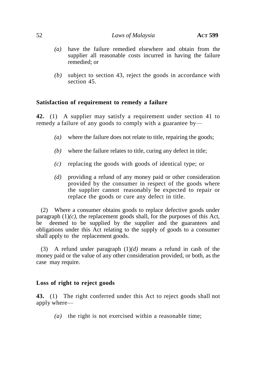- *(a)* have the failure remedied elsewhere and obtain from the supplier all reasonable costs incurred in having the failure remedied; or
- *(b)* subject to section 43, reject the goods in accordance with section 45.

# **Satisfaction of requirement to remedy a failure**

**42.** (1) A supplier may satisfy a requirement under section 41 to remedy a failure of any goods to comply with a guarantee by—

- *(a)* where the failure does not relate to title, repairing the goods;
- *(b)* where the failure relates to title, curing any defect in title;
- *(c)* replacing the goods with goods of identical type; or
- *(d)* providing a refund of any money paid or other consideration provided by the consumer in respect of the goods where the supplier cannot reasonably be expected to repair or replace the goods or cure any defect in title.

(2) Where a consumer obtains goods to replace defective goods under paragraph  $(1)(c)$ , the replacement goods shall, for the purposes of this Act, be deemed to be supplied by the supplier and the guarantees and obligations under this Act relating to the supply of goods to a consumer shall apply to the replacement goods.

(3) A refund under paragraph (1)*(d)* means a refund in cash of the money paid or the value of any other consideration provided, or both, as the case may require.

### **Loss of right to reject goods**

**43.** (1) The right conferred under this Act to reject goods shall not apply where—

*(a)* the right is not exercised within a reasonable time;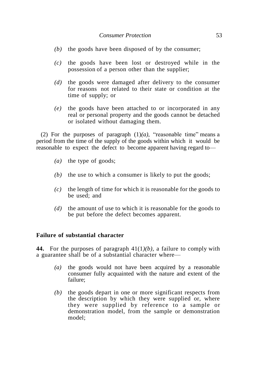- *(b)* the goods have been disposed of by the consumer;
- *(c)* the goods have been lost or destroyed while in the possession of a person other than the supplier;
- *(d)* the goods were damaged after delivery to the consumer for reasons not related to their state or condition at the time of supply; or
- *(e)* the goods have been attached to or incorporated in any real or personal property and the goods cannot be detached or isolated without damaging them.

(2) For the purposes of paragraph  $(1)(a)$ , "reasonable time" means a period from the time of the supply of the goods within which it would be reasonable to expect the defect to become apparent having regard to—

- *(a)* the type of goods;
- *(b)* the use to which a consumer is likely to put the goods;
- *(c)* the length of time for which it is reasonable for the goods to be used; and
- *(d)* the amount of use to which it is reasonable for the goods to be put before the defect becomes apparent.

#### **Failure of substantial character**

**44.** For the purposes of paragraph 41(1*)(b),* a failure to comply with a guarantee shall be of a substantial character where—

- *(a)* the goods would not have been acquired by a reasonable consumer fully acquainted with the nature and extent of the failure;
- *(b)* the goods depart in one or more significant respects from the description by which they were supplied or, where they were supplied by reference to a sample or demonstration model, from the sample or demonstration model;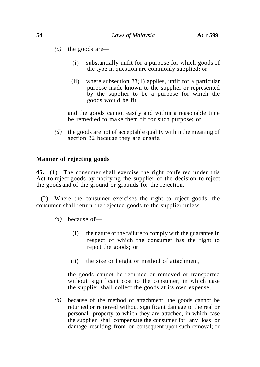- *(c)* the goods are—
	- (i) substantially unfit for a purpose for which goods of the type in question are commonly supplied; or
	- (ii) where subsection 33(1) applies, unfit for a particular purpose made known to the supplier or represented by the supplier to be a purpose for which the goods would be fit,

and the goods cannot easily and within a reasonable time be remedied to make them fit for such purpose; or

*(d)* the goods are not of acceptable quality within the meaning of section 32 because they are unsafe.

#### **Manner of rejecting goods**

**45.** (1) The consumer shall exercise the right conferred under this Act to reject goods by notifying the supplier of the decision to reject the goods and of the ground or grounds for the rejection.

(2) Where the consumer exercises the right to reject goods, the consumer shall return the rejected goods to the supplier unless—

- *(a)* because of—
	- (i) the nature of the failure to comply with the guarantee in respect of which the consumer has the right to reject the goods; or
	- (ii) the size or height or method of attachment,

the goods cannot be returned or removed or transported without significant cost to the consumer, in which case the supplier shall collect the goods at its own expense;

*(b)* because of the method of attachment, the goods cannot be returned or removed without significant damage to the real or personal property to which they are attached, in which case the supplier shall compensate the consumer for any loss or damage resulting from or consequent upon such removal; or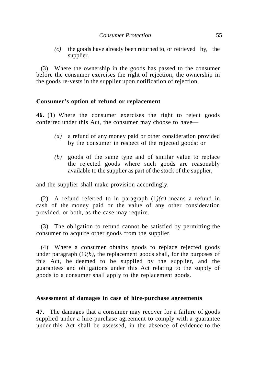*(c)* the goods have already been returned to, or retrieved by, the supplier.

(3) Where the ownership in the goods has passed to the consumer before the consumer exercises the right of rejection, the ownership in the goods re-vests in the supplier upon notification of rejection.

### **Consumer's option of refund or replacement**

**46.** (1) Where the consumer exercises the right to reject goods conferred under this Act, the consumer may choose to have—

- *(a)* a refund of any money paid or other consideration provided by the consumer in respect of the rejected goods; or
- *(b)* goods of the same type and of similar value to replace the rejected goods where such goods are reasonably available to the supplier as part of the stock of the supplier,

and the supplier shall make provision accordingly.

(2) A refund referred to in paragraph (1*)(a)* means a refund in cash of the money paid or the value of any other consideration provided, or both, as the case may require.

(3) The obligation to refund cannot be satisfied by permitting the consumer to acquire other goods from the supplier.

(4) Where a consumer obtains goods to replace rejected goods under paragraph  $(1)(b)$ , the replacement goods shall, for the purposes of this Act, be deemed to be supplied by the supplier, and the guarantees and obligations under this Act relating to the supply of goods to a consumer shall apply to the replacement goods.

#### **Assessment of damages in case of hire-purchase agreements**

**47.** The damages that a consumer may recover for a failure of goods supplied under a hire-purchase agreement to comply with a guarantee under this Act shall be assessed, in the absence of evidence to the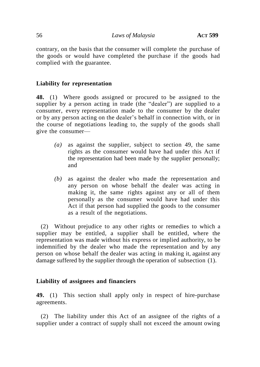contrary, on the basis that the consumer will complete the purchase of the goods or would have completed the purchase if the goods had complied with the guarantee.

# **Liability for representation**

**48.** (1) Where goods assigned or procured to be assigned to the supplier by a person acting in trade (the "dealer") are supplied to a consumer, every representation made to the consumer by the dealer or by any person acting on the dealer's behalf in connection with, or in the course of negotiations leading to, the supply of the goods shall give the consumer—

- *(a)* as against the supplier, subject to section 49, the same rights as the consumer would have had under this Act if the representation had been made by the supplier personally; and
- *(b)* as against the dealer who made the representation and any person on whose behalf the dealer was acting in making it, the same rights against any or all of them personally as the consumer would have had under this Act if that person had supplied the goods to the consumer as a result of the negotiations.

(2) Without prejudice to any other rights or remedies to which a supplier may be entitled, a supplier shall be entitled, where the representation was made without his express or implied authority, to be indemnified by the dealer who made the representation and by any person on whose behalf the dealer was acting in making it, against any damage suffered by the supplier through the operation of subsection (1).

### **Liability of assignees and financiers**

**49.** (1) This section shall apply only in respect of hire-purchase agreements.

(2) The liability under this Act of an assignee of the rights of a supplier under a contract of supply shall not exceed the amount owing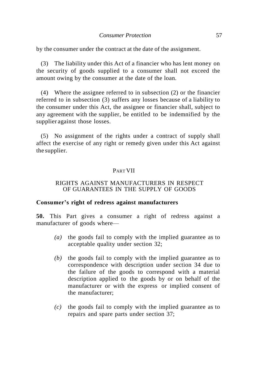by the consumer under the contract at the date of the assignment.

(3) The liability under this Act of a financier who has lent money on the security of goods supplied to a consumer shall not exceed the amount owing by the consumer at the date of the loan.

(4) Where the assignee referred to in subsection (2) or the financier referred to in subsection (3) suffers any losses because of a liability to the consumer under this Act, the assignee or financier shall, subject to any agreement with the supplier, be entitled to be indemnified by the supplier against those losses.

(5) No assignment of the rights under a contract of supply shall affect the exercise of any right or remedy given under this Act against the supplier.

### PART VII

#### RIGHTS AGAINST MANUFACTURERS IN RESPECT OF GUARANTEES IN THE SUPPLY OF GOODS

#### **Consumer's right of redress against manufacturers**

**50.** This Part gives a consumer a right of redress against a manufacturer of goods where—

- *(a)* the goods fail to comply with the implied guarantee as to acceptable quality under section 32;
- *(b)* the goods fail to comply with the implied guarantee as to correspondence with description under section 34 due to the failure of the goods to correspond with a material description applied to the goods by or on behalf of the manufacturer or with the express or implied consent of the manufacturer;
- *(c)* the goods fail to comply with the implied guarantee as to repairs and spare parts under section 37;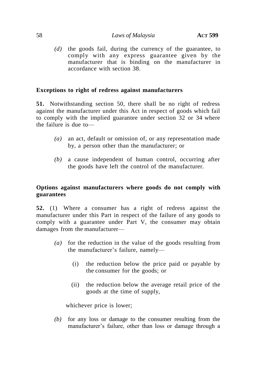*(d)* the goods fail, during the currency of the guarantee, to comply with any express guarantee given by the manufacturer that is binding on the manufacturer in accordance with section 38.

# **Exceptions to right of redress against manufacturers**

**51.** Notwithstanding section 50, there shall be no right of redress against the manufacturer under this Act in respect of goods which fail to comply with the implied guarantee under section 32 or 34 where the failure is due to—

- *(a)* an act, default or omission of, or any representation made by, a person other than the manufacturer; or
- *(b)* a cause independent of human control, occurring after the goods have left the control of the manufacturer.

# **Options against manufacturers where goods do not comply with guarantees**

**52.** (1) Where a consumer has a right of redress against the manufacturer under this Part in respect of the failure of any goods to comply with a guarantee under Part V, the consumer may obtain damages from the manufacturer—

- *(a)* for the reduction in the value of the goods resulting from the manufacturer's failure, namely—
	- (i) the reduction below the price paid or payable by the consumer for the goods; or
	- (ii) the reduction below the average retail price of the goods at the time of supply,

whichever price is lower;

*(b)* for any loss or damage to the consumer resulting from the manufacturer's failure, other than loss or damage through a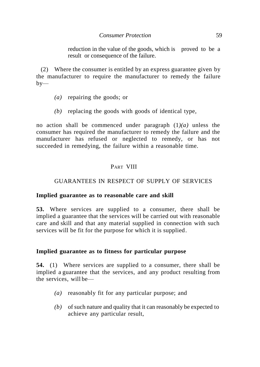reduction in the value of the goods, which is proved to be a result or consequence of the failure.

(2) Where the consumer is entitled by an express guarantee given by the manufacturer to require the manufacturer to remedy the failure  $b$ v—

- *(a)* repairing the goods; or
- *(b)* replacing the goods with goods of identical type,

no action shall be commenced under paragraph (1*)(a)* unless the consumer has required the manufacturer to remedy the failure and the manufacturer has refused or neglected to remedy, or has not succeeded in remedying, the failure within a reasonable time.

# PART VIII

## GUARANTEES IN RESPECT OF SUPPLY OF SERVICES

### **Implied guarantee as to reasonable care and skill**

**53.** Where services are supplied to a consumer, there shall be implied a guarantee that the services will be carried out with reasonable care and skill and that any material supplied in connection with such services will be fit for the purpose for which it is supplied.

### **Implied guarantee as to fitness for particular purpose**

**54.** (1) Where services are supplied to a consumer, there shall be implied a guarantee that the services, and any product resulting from the services, will be—

- *(a)* reasonably fit for any particular purpose; and
- *(b)* of such nature and quality that it can reasonably be expected to achieve any particular result,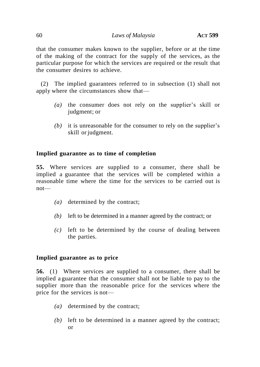that the consumer makes known to the supplier, before or at the time of the making of the contract for the supply of the services, as the particular purpose for which the services are required or the result that the consumer desires to achieve.

(2) The implied guarantees referred to in subsection (1) shall not apply where the circumstances show that—

- *(a)* the consumer does not rely on the supplier's skill or judgment; or
- *(b)* it is unreasonable for the consumer to rely on the supplier's skill or judgment.

# **Implied guarantee as to time of completion**

**55.** Where services are supplied to a consumer, there shall be implied a guarantee that the services will be completed within a reasonable time where the time for the services to be carried out is not—

- *(a)* determined by the contract;
- *(b)* left to be determined in a manner agreed by the contract; or
- *(c)* left to be determined by the course of dealing between the parties.

### **Implied guarantee as to price**

**56.** (1) Where services are supplied to a consumer, there shall be implied a guarantee that the consumer shall not be liable to pay to the supplier more than the reasonable price for the services where the price for the services is not—

- *(a)* determined by the contract;
- *(b)* left to be determined in a manner agreed by the contract; or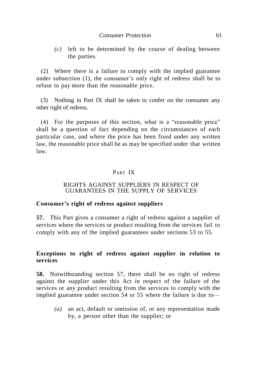*(c)* left to be determined by the course of dealing between the parties.

(2) Where there is a failure to comply with the implied guarantee under subsection (1), the consumer's only right of redress shall be to refuse to pay more than the reasonable price.

(3) Nothing in Part IX shall be taken to confer on the consumer any other right of redress.

 $(4)$  For the purposes of this section, what is a "reasonable price" shall be a question of fact depending on the circumstances of each particular case, and where the price has been fixed under any written law, the reasonable price shall be as may be specified under that written law.

# PART IX

#### RIGHTS AGAINST SUPPLIERS IN RESPECT OF GUARANTEES IN THE SUPPLY OF SERVICES

#### **Consumer's right of redress against suppliers**

**57.** This Part gives a consumer a right of redress against a supplier of services where the services or product resulting from the services fail to comply with any of the implied guarantees under sections 53 to 55.

# **Exceptions to right of redress against supplier in relation to services**

**58.** Notwithstanding section 57, there shall be no right of redress against the supplier under this Act in respect of the failure of the services or any product resulting from the services to comply with the implied guarantee under section 54 or 55 where the failure is due to—

*(a)* an act, default or omission of, or any representation made by, a person other than the supplier; or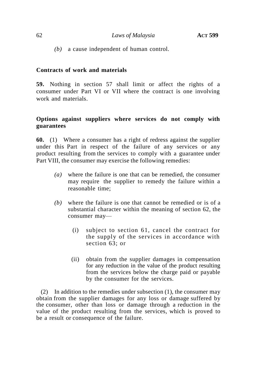*(b)* a cause independent of human control.

#### **Contracts of work and materials**

**59.** Nothing in section 57 shall limit or affect the rights of a consumer under Part VI or VII where the contract is one involving work and materials.

# **Options against suppliers where services do not comply with guarantees**

**60.** (1) Where a consumer has a right of redress against the supplier under this Part in respect of the failure of any services or any product resulting from the services to comply with a guarantee under Part VIII, the consumer may exercise the following remedies:

- *(a)* where the failure is one that can be remedied, the consumer may require the supplier to remedy the failure within a reasonable time;
- *(b)* where the failure is one that cannot be remedied or is of a substantial character within the meaning of section 62, the consumer may—
	- (i) subject to section 61, cancel the contract for the supply of the services in accordance with section 63; or
	- (ii) obtain from the supplier damages in compensation for any reduction in the value of the product resulting from the services below the charge paid or payable by the consumer for the services.

(2) In addition to the remedies under subsection (1), the consumer may obtain from the supplier damages for any loss or damage suffered by the consumer, other than loss or damage through a reduction in the value of the product resulting from the services, which is proved to be a result or consequence of the failure.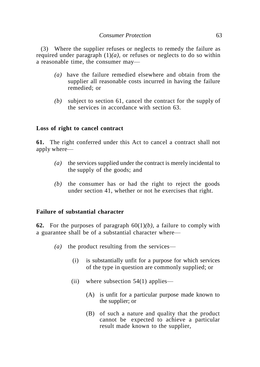(3) Where the supplier refuses or neglects to remedy the failure as required under paragraph  $(1)(a)$ , or refuses or neglects to do so within a reasonable time, the consumer may—

- *(a)* have the failure remedied elsewhere and obtain from the supplier all reasonable costs incurred in having the failure remedied; or
- *(b)* subject to section 61, cancel the contract for the supply of the services in accordance with section 63.

### **Loss of right to cancel contract**

**61.** The right conferred under this Act to cancel a contract shall not apply where—

- *(a)* the services supplied under the contract is merely incidental to the supply of the goods; and
- *(b)* the consumer has or had the right to reject the goods under section 41, whether or not he exercises that right.

### **Failure of substantial character**

**62.** For the purposes of paragraph 60(1)*(b),* a failure to comply with a guarantee shall be of a substantial character where—

- *(a)* the product resulting from the services—
	- (i) is substantially unfit for a purpose for which services of the type in question are commonly supplied; or
	- (ii) where subsection  $54(1)$  applies—
		- (A) is unfit for a particular purpose made known to the supplier; or
		- (B) of such a nature and quality that the product cannot be expected to achieve a particular result made known to the supplier,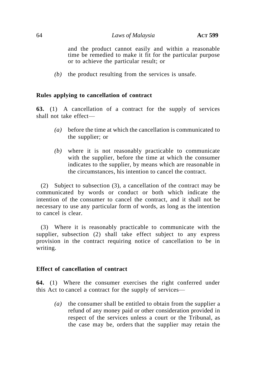and the product cannot easily and within a reasonable time be remedied to make it fit for the particular purpose or to achieve the particular result; or

*(b)* the product resulting from the services is unsafe.

# **Rules applying to cancellation of contract**

**63.** (1) A cancellation of a contract for the supply of services shall not take effect—

- *(a)* before the time at which the cancellation is communicated to the supplier; or
- *(b)* where it is not reasonably practicable to communicate with the supplier, before the time at which the consumer indicates to the supplier, by means which are reasonable in the circumstances, his intention to cancel the contract.

(2) Subject to subsection (3), a cancellation of the contract may be communicated by words or conduct or both which indicate the intention of the consumer to cancel the contract, and it shall not be necessary to use any particular form of words, as long as the intention to cancel is clear.

(3) Where it is reasonably practicable to communicate with the supplier, subsection (2) shall take effect subject to any express provision in the contract requiring notice of cancellation to be in writing.

### **Effect of cancellation of contract**

**64.** (1) Where the consumer exercises the right conferred under this Act to cancel a contract for the supply of services—

*(a)* the consumer shall be entitled to obtain from the supplier a refund of any money paid or other consideration provided in respect of the services unless a court or the Tribunal, as the case may be, orders that the supplier may retain the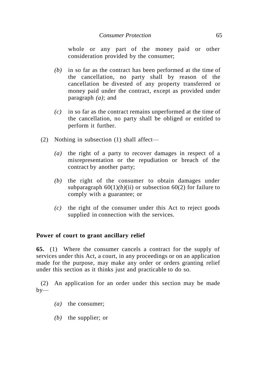whole or any part of the money paid or other consideration provided by the consumer;

- *(b)* in so far as the contract has been performed at the time of the cancellation, no party shall by reason of the cancellation be divested of any property transferred or money paid under the contract, except as provided under paragraph *(a)*; and
- *(c)* in so far as the contract remains unperformed at the time of the cancellation, no party shall be obliged or entitled to perform it further.
- (2) Nothing in subsection (1) shall affect—
	- *(a)* the right of a party to recover damages in respect of a misrepresentation or the repudiation or breach of the contract by another party;
	- *(b)* the right of the consumer to obtain damages under subparagraph  $60(1)(b)(ii)$  or subsection  $60(2)$  for failure to comply with a guarantee; or
	- *(c)* the right of the consumer under this Act to reject goods supplied in connection with the services.

# **Power of court to grant ancillary relief**

**65.** (1) Where the consumer cancels a contract for the supply of services under this Act, a court, in any proceedings or on an application made for the purpose, may make any order or orders granting relief under this section as it thinks just and practicable to do so.

(2) An application for an order under this section may be made  $by-$ 

- *(a)* the consumer;
- *(b)* the supplier; or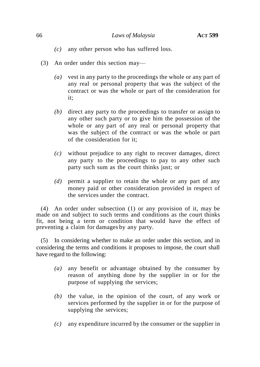- *(c)* any other person who has suffered loss.
- (3) An order under this section may—
	- *(a)* vest in any party to the proceedings the whole or any part of any real or personal property that was the subject of the contract or was the whole or part of the consideration for it;
	- *(b)* direct any party to the proceedings to transfer or assign to any other such party or to give him the possession of the whole or any part of any real or personal property that was the subject of the contract or was the whole or part of the consideration for it;
	- *(c)* without prejudice to any right to recover damages, direct any party to the proceedings to pay to any other such party such sum as the court thinks just; or
	- *(d)* permit a supplier to retain the whole or any part of any money paid or other consideration provided in respect of the services under the contract.

(4) An order under subsection (1) or any provision of it, may be made on and subject to such terms and conditions as the court thinks fit, not being a term or condition that would have the effect of preventing a claim for damages by any party.

(5) In considering whether to make an order under this section, and in considering the terms and conditions it proposes to impose, the court shall have regard to the following:

- *(a)* any benefit or advantage obtained by the consumer by reason of anything done by the supplier in or for the purpose of supplying the services;
- *(b)* the value, in the opinion of the court, of any work or services performed by the supplier in or for the purpose of supplying the services;
- *(c)* any expenditure incurred by the consumer or the supplier in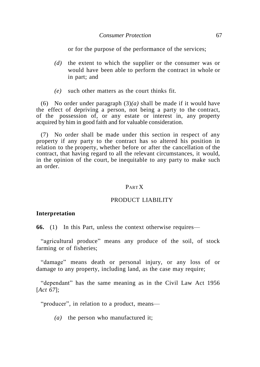or for the purpose of the performance of the services;

- *(d)* the extent to which the supplier or the consumer was or would have been able to perform the contract in whole or in part; and
- *(e)* such other matters as the court thinks fit.

(6) No order under paragraph (3)*(a)* shall be made if it would have the effect of depriving a person, not being a party to the contract, of the possession of, or any estate or interest in, any property acquired by him in good faith and for valuable consideration.

(7) No order shall be made under this section in respect of any property if any party to the contract has so altered his position in relation to the property, whether before or after the cancellation of the contract, that having regard to all the relevant circumstances, it would, in the opinion of the court, be inequitable to any party to make such an order.

#### PART X

#### PRODUCT LIABILITY

#### **Interpretation**

**66.** (1) In this Part, unless the context otherwise requires—

"agricultural produce" means any produce of the soil, of stock farming or of fisheries;

"damage" means death or personal injury, or any loss of or damage to any property, including land, as the case may require;

"dependant" has the same meaning as in the Civil Law Act 1956 [*Act 67*];

"producer", in relation to a product, means—

*(a)* the person who manufactured it;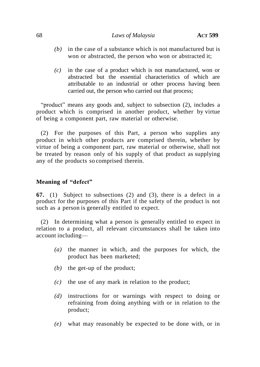- *(b)* in the case of a substance which is not manufactured but is won or abstracted, the person who won or abstracted it;
- *(c)* in the case of a product which is not manufactured, won or abstracted but the essential characteristics of which are attributable to an industrial or other process having been carried out, the person who carried out that process;

"product" means any goods and, subject to subsection (2), includes a product which is comprised in another product, whether by virtue of being a component part, raw material or otherwise.

(2) For the purposes of this Part, a person who supplies any product in which other products are comprised therein, whether by virtue of being a component part, raw material or otherwise, shall not be treated by reason only of his supply of that product as supplying any of the products so comprised therein.

# **Meaning of "defect"**

**67.** (1) Subject to subsections (2) and (3), there is a defect in a product for the purposes of this Part if the safety of the product is not such as a person is generally entitled to expect.

(2) In determining what a person is generally entitled to expect in relation to a product, all relevant circumstances shall be taken into account including—

- *(a)* the manner in which, and the purposes for which, the product has been marketed;
- *(b)* the get-up of the product;
- *(c)* the use of any mark in relation to the product;
- *(d)* instructions for or warnings with respect to doing or refraining from doing anything with or in relation to the product;
- *(e)* what may reasonably be expected to be done with, or in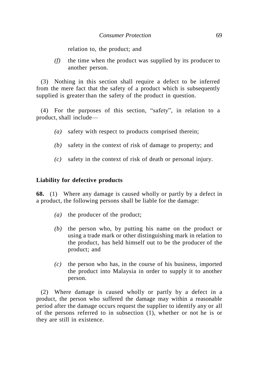relation to, the product; and

*(f)* the time when the product was supplied by its producer to another person.

(3) Nothing in this section shall require a defect to be inferred from the mere fact that the safety of a product which is subsequently supplied is greater than the safety of the product in question.

 $(4)$  For the purposes of this section, "safety", in relation to a product, shall include—

- *(a)* safety with respect to products comprised therein;
- *(b)* safety in the context of risk of damage to property; and
- *(c)* safety in the context of risk of death or personal injury.

#### **Liability for defective products**

**68.** (1) Where any damage is caused wholly or partly by a defect in a product, the following persons shall be liable for the damage:

- *(a)* the producer of the product;
- *(b)* the person who, by putting his name on the product or using a trade mark or other distinguishing mark in relation to the product, has held himself out to be the producer of the product; and
- *(c)* the person who has, in the course of his business, imported the product into Malaysia in order to supply it to another person.

(2) Where damage is caused wholly or partly by a defect in a product, the person who suffered the damage may within a reasonable period after the damage occurs request the supplier to identify any or all of the persons referred to in subsection (1), whether or not he is or they are still in existence.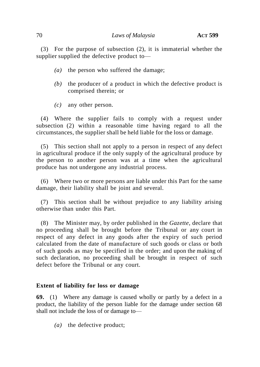(3) For the purpose of subsection (2), it is immaterial whether the supplier supplied the defective product to—

- *(a)* the person who suffered the damage;
- *(b)* the producer of a product in which the defective product is comprised therein; or
- *(c)* any other person.

(4) Where the supplier fails to comply with a request under subsection (2) within a reasonable time having regard to all the circumstances, the supplier shall be held liable for the loss or damage.

(5) This section shall not apply to a person in respect of any defect in agricultural produce if the only supply of the agricultural produce by the person to another person was at a time when the agricultural produce has not undergone any industrial process.

(6) Where two or more persons are liable under this Part for the same damage, their liability shall be joint and several.

(7) This section shall be without prejudice to any liability arising otherwise than under this Part.

(8) The Minister may, by order published in the *Gazette*, declare that no proceeding shall be brought before the Tribunal or any court in respect of any defect in any goods after the expiry of such period calculated from the date of manufacture of such goods or class or both of such goods as may be specified in the order; and upon the making of such declaration, no proceeding shall be brought in respect of such defect before the Tribunal or any court.

### **Extent of liability for loss or damage**

**69.** (1) Where any damage is caused wholly or partly by a defect in a product, the liability of the person liable for the damage under section 68 shall not include the loss of or damage to—

*(a)* the defective product;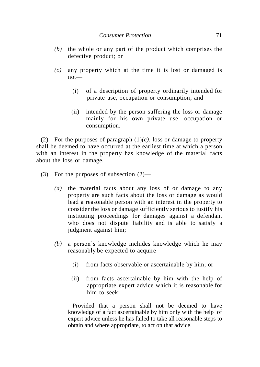- *(b)* the whole or any part of the product which comprises the defective product; or
- *(c)* any property which at the time it is lost or damaged is not—
	- (i) of a description of property ordinarily intended for private use, occupation or consumption; and
	- (ii) intended by the person suffering the loss or damage mainly for his own private use, occupation or consumption.

(2) For the purposes of paragraph (1)*(c),* loss or damage to property shall be deemed to have occurred at the earliest time at which a person with an interest in the property has knowledge of the material facts about the loss or damage.

- (3) For the purposes of subsection (2)—
	- *(a)* the material facts about any loss of or damage to any property are such facts about the loss or damage as would lead a reasonable person with an interest in the property to consider the loss or damage sufficiently serious to justify his instituting proceedings for damages against a defendant who does not dispute liability and is able to satisfy a judgment against him;
	- *(b)* a person's knowledge includes knowledge which he may reasonably be expected to acquire—
		- (i) from facts observable or ascertainable by him; or
		- (ii) from facts ascertainable by him with the help of appropriate expert advice which it is reasonable for him to seek:

Provided that a person shall not be deemed to have knowledge of a fact ascertainable by him only with the help of expert advice unless he has failed to take all reasonable steps to obtain and where appropriate, to act on that advice.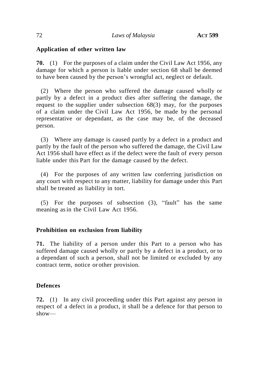### **Application of other written law**

**70.** (1) For the purposes of a claim under the Civil Law Act 1956, any damage for which a person is liable under section 68 shall be deemed to have been caused by the person's wrongful act, neglect or default.

(2) Where the person who suffered the damage caused wholly or partly by a defect in a product dies after suffering the damage, the request to the supplier under subsection 68(3) may, for the purposes of a claim under the Civil Law Act 1956, be made by the personal representative or dependant, as the case may be, of the deceased person.

(3) Where any damage is caused partly by a defect in a product and partly by the fault of the person who suffered the damage, the Civil Law Act 1956 shall have effect as if the defect were the fault of every person liable under this Part for the damage caused by the defect.

(4) For the purposes of any written law conferring jurisdiction on any court with respect to any matter, liability for damage under this Part shall be treated as liability in tort.

 $(5)$  For the purposes of subsection  $(3)$ , "fault" has the same meaning asin the Civil Law Act 1956.

### **Prohibition on exclusion from liability**

**71.** The liability of a person under this Part to a person who has suffered damage caused wholly or partly by a defect in a product, or to a dependant of such a person, shall not be limited or excluded by any contract term, notice or other provision.

### **Defences**

**72.** (1) In any civil proceeding under this Part against any person in respect of a defect in a product, it shall be a defence for that person to show—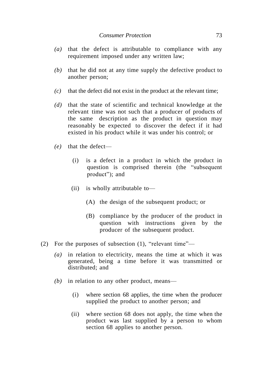- *(a)* that the defect is attributable to compliance with any requirement imposed under any written law;
- *(b)* that he did not at any time supply the defective product to another person;
- *(c)* that the defect did not exist in the product at the relevant time;
- *(d)* that the state of scientific and technical knowledge at the relevant time was not such that a producer of products of the same description as the product in question may reasonably be expected to discover the defect if it had existed in his product while it was under his control; or
- *(e)* that the defect—
	- (i) is a defect in a product in which the product in question is comprised therein (the "subsequent" product"); and
	- (ii) is wholly attributable to—
		- (A) the design of the subsequent product; or
		- (B) compliance by the producer of the product in question with instructions given by the producer of the subsequent product.
- (2) For the purposes of subsection (1), "relevant time"—
	- *(a)* in relation to electricity, means the time at which it was generated, being a time before it was transmitted or distributed; and
	- *(b)* in relation to any other product, means—
		- (i) where section 68 applies, the time when the producer supplied the product to another person; and
		- (ii) where section 68 does not apply, the time when the product was last supplied by a person to whom section 68 applies to another person.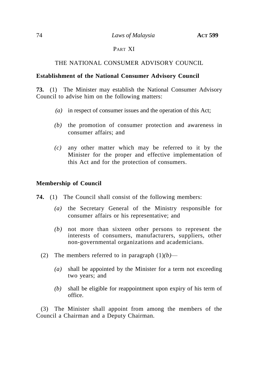## 74 *Laws of Malaysia* **ACT 599**

## PART XI

# THE NATIONAL CONSUMER ADVISORY COUNCIL

## **Establishment of the National Consumer Advisory Council**

**73.** (1) The Minister may establish the National Consumer Advisory Council to advise him on the following matters:

- *(a)* in respect of consumer issues and the operation of this Act;
- *(b)* the promotion of consumer protection and awareness in consumer affairs; and
- *(c)* any other matter which may be referred to it by the Minister for the proper and effective implementation of this Act and for the protection of consumers.

# **Membership of Council**

- **74.** (1) The Council shall consist of the following members:
	- *(a)* the Secretary General of the Ministry responsible for consumer affairs or his representative; and
	- *(b)* not more than sixteen other persons to represent the interests of consumers, manufacturers, suppliers, other non-governmental organizations and academicians.
	- (2) The members referred to in paragraph  $(1)(b)$ 
		- *(a)* shall be appointed by the Minister for a term not exceeding two years; and
		- *(b)* shall be eligible for reappointment upon expiry of his term of office.

(3) The Minister shall appoint from among the members of the Council a Chairman and a Deputy Chairman.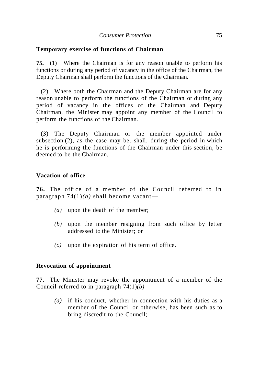## **Temporary exercise of functions of Chairman**

**75.** (1) Where the Chairman is for any reason unable to perform his functions or during any period of vacancy in the office of the Chairman, the Deputy Chairman shall perform the functions of the Chairman.

(2) Where both the Chairman and the Deputy Chairman are for any reason unable to perform the functions of the Chairman or during any period of vacancy in the offices of the Chairman and Deputy Chairman, the Minister may appoint any member of the Council to perform the functions of the Chairman.

(3) The Deputy Chairman or the member appointed under subsection (2), as the case may be, shall, during the period in which he is performing the functions of the Chairman under this section, be deemed to be the Chairman.

## **Vacation of office**

**76.** The office of a member of the Council referred to in paragraph 74(1)*(b)* shall become vacant—

- *(a)* upon the death of the member;
- *(b)* upon the member resigning from such office by letter addressed to the Minister; or
- *(c)* upon the expiration of his term of office.

### **Revocation of appointment**

**77.** The Minister may revoke the appointment of a member of the Council referred to in paragraph  $74(1)(b)$ —

*(a)* if his conduct, whether in connection with his duties as a member of the Council or otherwise, has been such as to bring discredit to the Council;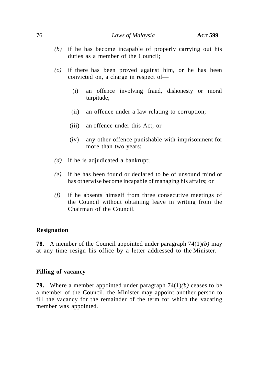### 76 *Laws of Malaysia* **ACT 599**

- *(b)* if he has become incapable of properly carrying out his duties as a member of the Council;
- *(c)* if there has been proved against him, or he has been convicted on, a charge in respect of—
	- (i) an offence involving fraud, dishonesty or moral turpitude;
	- (ii) an offence under a law relating to corruption;
	- (iii) an offence under this Act; or
	- (iv) any other offence punishable with imprisonment for more than two years;
- *(d)* if he is adjudicated a bankrupt;
- *(e)* if he has been found or declared to be of unsound mind or has otherwise become incapable of managing his affairs; or
- *(f)* if he absents himself from three consecutive meetings of the Council without obtaining leave in writing from the Chairman of the Council.

### **Resignation**

**78.** A member of the Council appointed under paragraph 74(1)*(b)* may at any time resign his office by a letter addressed to the Minister.

### **Filling of vacancy**

**79.** Where a member appointed under paragraph 74(1)*(b)* ceases to be a member of the Council, the Minister may appoint another person to fill the vacancy for the remainder of the term for which the vacating member was appointed.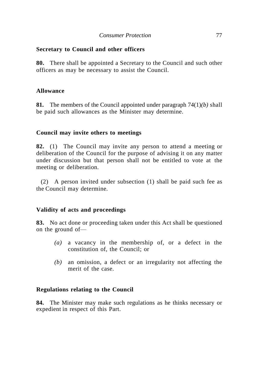# **Secretary to Council and other officers**

**80.** There shall be appointed a Secretary to the Council and such other officers as may be necessary to assist the Council.

## **Allowance**

**81.** The members of the Council appointed under paragraph 74(1)*(b)* shall be paid such allowances as the Minister may determine.

## **Council may invite others to meetings**

**82.** (1) The Council may invite any person to attend a meeting or deliberation of the Council for the purpose of advising it on any matter under discussion but that person shall not be entitled to vote at the meeting or deliberation.

(2) A person invited under subsection (1) shall be paid such fee as the Council may determine.

# **Validity of acts and proceedings**

**83.** No act done or proceeding taken under this Act shall be questioned on the ground of—

- *(a)* a vacancy in the membership of, or a defect in the constitution of, the Council; or
- *(b)* an omission, a defect or an irregularity not affecting the merit of the case.

### **Regulations relating to the Council**

**84.** The Minister may make such regulations as he thinks necessary or expedient in respect of this Part.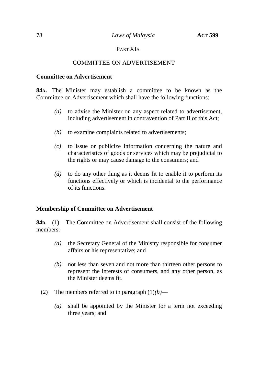# PART XIA

## COMMITTEE ON ADVERTISEMENT

#### **Committee on Advertisement**

**84A.** The Minister may establish a committee to be known as the Committee on Advertisement which shall have the following functions:

- *(a)* to advise the Minister on any aspect related to advertisement, including advertisement in contravention of Part II of this Act;
- *(b)* to examine complaints related to advertisements;
- *(c)* to issue or publicize information concerning the nature and characteristics of goods or services which may be prejudicial to the rights or may cause damage to the consumers; and
- *(d)* to do any other thing as it deems fit to enable it to perform its functions effectively or which is incidental to the performance of its functions.

### **Membership of Committee on Advertisement**

**84B.** (1) The Committee on Advertisement shall consist of the following members:

- *(a)* the Secretary General of the Ministry responsible for consumer affairs or his representative; and
- *(b)* not less than seven and not more than thirteen other persons to represent the interests of consumers, and any other person, as the Minister deems fit.
- (2) The members referred to in paragraph  $(1)(b)$ 
	- *(a)* shall be appointed by the Minister for a term not exceeding three years; and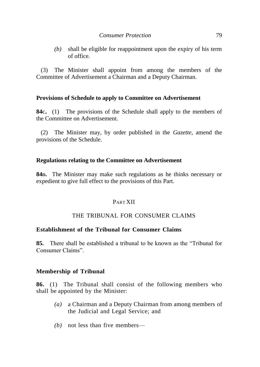*(b)* shall be eligible for reappointment upon the expiry of his term of office.

(3) The Minister shall appoint from among the members of the Committee of Advertisement a Chairman and a Deputy Chairman.

### **Provisions of Schedule to apply to Committee on Advertisement**

**84C.** (1) The provisions of the Schedule shall apply to the members of the Committee on Advertisement.

(2) The Minister may, by order published in the *Gazette*, amend the provisions of the Schedule.

## **Regulations relating to the Committee on Advertisement**

**84D.** The Minister may make such regulations as he thinks necessary or expedient to give full effect to the provisions of this Part.

### PART XII

# THE TRIBUNAL FOR CONSUMER CLAIMS

### **Establishment of the Tribunal for Consumer Claims**

**85.** There shall be established a tribunal to be known as the "Tribunal for Consumer Claims".

### **Membership of Tribunal**

**86.** (1) The Tribunal shall consist of the following members who shall be appointed by the Minister:

- *(a)* a Chairman and a Deputy Chairman from among members of the Judicial and Legal Service; and
- *(b)* not less than five members—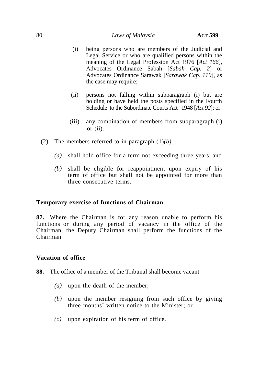# 80 *Laws of Malaysia* **ACT 599**

- (i) being persons who are members of the Judicial and Legal Service or who are qualified persons within the meaning of the Legal Profession Act 1976 [*Act 166*], Advocates Ordinance Sabah [*Sabah Cap. 2*] or Advocates Ordinance Sarawak [*Sarawak Cap. 110*], as the case may require;
- (ii) persons not falling within subparagraph (i) but are holding or have held the posts specified in the Fourth Schedule to the Subordinate Courts Act 1948 [*Act 92*]; or
- (iii) any combination of members from subparagraph (i) or  $(ii)$ .
- (2) The members referred to in paragraph  $(1)(b)$ 
	- *(a)* shall hold office for a term not exceeding three years; and
	- *(b)* shall be eligible for reappointment upon expiry of his term of office but shall not be appointed for more than three consecutive terms.

### **Temporary exercise of functions of Chairman**

**87.** Where the Chairman is for any reason unable to perform his functions or during any period of vacancy in the office of the Chairman, the Deputy Chairman shall perform the functions of the Chairman.

### **Vacation of office**

- **88.** The office of a member of the Tribunal shall become vacant—
	- *(a)* upon the death of the member;
	- *(b)* upon the member resigning from such office by giving three months' written notice to the Minister; or
	- *(c)* upon expiration of his term of office.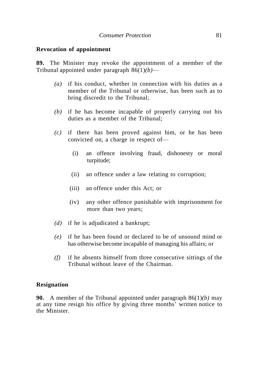#### **Revocation of appointment**

**89.** The Minister may revoke the appointment of a member of the Tribunal appointed under paragraph 86(1)*(b)*—

- *(a)* if his conduct, whether in connection with his duties as a member of the Tribunal or otherwise, has been such as to bring discredit to the Tribunal;
- *(b)* if he has become incapable of properly carrying out his duties as a member of the Tribunal;
- *(c)* if there has been proved against him, or he has been convicted on, a charge in respect of—
	- (i) an offence involving fraud, dishonesty or moral turpitude;
	- (ii) an offence under a law relating to corruption;
	- (iii) an offence under this Act; or
	- (iv) any other offence punishable with imprisonment for more than two years;
- *(d)* if he is adjudicated a bankrupt;
- *(e)* if he has been found or declared to be of unsound mind or has otherwise become incapable of managing his affairs; or
- *(f)* if he absents himself from three consecutive sittings of the Tribunal without leave of the Chairman.

#### **Resignation**

**90.** A member of the Tribunal appointed under paragraph 86(1)*(b)* may at any time resign his office by giving three months' written notice to the Minister.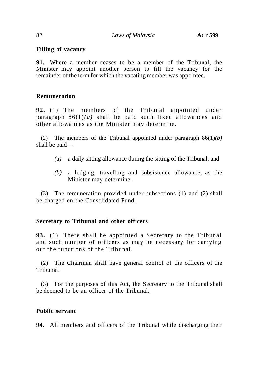# **Filling of vacancy**

**91.** Where a member ceases to be a member of the Tribunal, the Minister may appoint another person to fill the vacancy for the remainder of the term for which the vacating member was appointed.

## **Remuneration**

**92.** (1) The members of the Tribunal appointed under paragraph 86(1)*(a)* shall be paid such fixed allowances and other allowances as the Minister may determine.

(2) The members of the Tribunal appointed under paragraph 86(1)*(b)*  shall be paid—

- *(a)* a daily sitting allowance during the sitting of the Tribunal; and
- *(b)* a lodging, travelling and subsistence allowance, as the Minister may determine.

(3) The remuneration provided under subsections (1) and (2) shall be charged on the Consolidated Fund.

# **Secretary to Tribunal and other officers**

**93.** (1) There shall be appointed a Secretary to the Tribunal and such number of officers as may be necessary for carrying out the functions of the Tribunal.

(2) The Chairman shall have general control of the officers of the Tribunal.

(3) For the purposes of this Act, the Secretary to the Tribunal shall be deemed to be an officer of the Tribunal.

# **Public servant**

**94.** All members and officers of the Tribunal while discharging their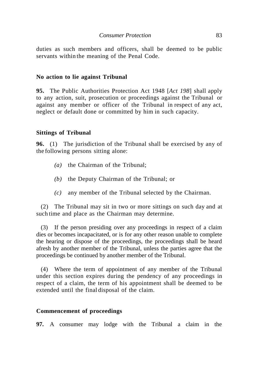duties as such members and officers, shall be deemed to be public servants within the meaning of the Penal Code.

#### **No action to lie against Tribunal**

**95.** The Public Authorities Protection Act 1948 [*Act 198*] shall apply to any action, suit, prosecution or proceedings against the Tribunal or against any member or officer of the Tribunal in respect of any act, neglect or default done or committed by him in such capacity.

#### **Sittings of Tribunal**

**96.** (1) The jurisdiction of the Tribunal shall be exercised by any of the following persons sitting alone:

- *(a)* the Chairman of the Tribunal;
- *(b)* the Deputy Chairman of the Tribunal; or
- *(c)* any member of the Tribunal selected by the Chairman.

(2) The Tribunal may sit in two or more sittings on such day and at such time and place as the Chairman may determine.

(3) If the person presiding over any proceedings in respect of a claim dies or becomes incapacitated, or is for any other reason unable to complete the hearing or dispose of the proceedings, the proceedings shall be heard afresh by another member of the Tribunal, unless the parties agree that the proceedings be continued by another member of the Tribunal.

(4) Where the term of appointment of any member of the Tribunal under this section expires during the pendency of any proceedings in respect of a claim, the term of his appointment shall be deemed to be extended until the final disposal of the claim.

#### **Commencement of proceedings**

**97.** A consumer may lodge with the Tribunal a claim in the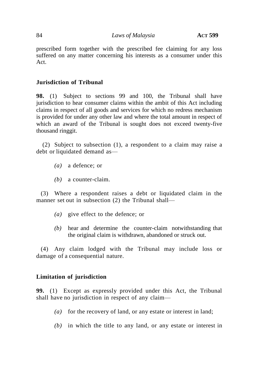prescribed form together with the prescribed fee claiming for any loss suffered on any matter concerning his interests as a consumer under this Act.

## **Jurisdiction of Tribunal**

**98.** (1) Subject to sections 99 and 100, the Tribunal shall have jurisdiction to hear consumer claims within the ambit of this Act including claims in respect of all goods and services for which no redress mechanism is provided for under any other law and where the total amount in respect of which an award of the Tribunal is sought does not exceed twenty-five thousand ringgit.

(2) Subject to subsection (1), a respondent to a claim may raise a debt or liquidated demand as—

- *(a)* a defence; or
- *(b)* a counter-claim.

(3) Where a respondent raises a debt or liquidated claim in the manner set out in subsection (2) the Tribunal shall—

- *(a)* give effect to the defence; or
- *(b)* hear and determine the counter-claim notwithstanding that the original claim is withdrawn, abandoned or struck out.

(4) Any claim lodged with the Tribunal may include loss or damage of a consequential nature.

# **Limitation of jurisdiction**

**99.** (1) Except as expressly provided under this Act, the Tribunal shall have no jurisdiction in respect of any claim—

- *(a)* for the recovery of land, or any estate or interest in land;
- *(b)* in which the title to any land, or any estate or interest in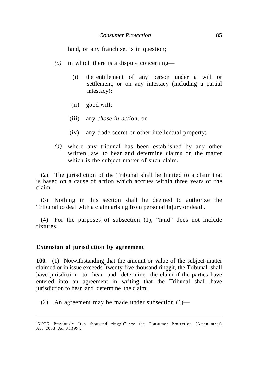land, or any franchise, is in question;

- *(c)* in which there is a dispute concerning—
	- (i) the entitlement of any person under a will or settlement, or on any intestacy (including a partial intestacy);
	- (ii) good will;
	- (iii) any *chose in action*; or
	- (iv) any trade secret or other intellectual property;
- *(d)* where any tribunal has been established by any other written law to hear and determine claims on the matter which is the subject matter of such claim.

(2) The jurisdiction of the Tribunal shall be limited to a claim that is based on a cause of action which accrues within three years of the claim.

(3) Nothing in this section shall be deemed to authorize the Tribunal to deal with a claim arising from personal injury or death.

 $(4)$  For the purposes of subsection  $(1)$ , "land" does not include fixtures.

#### **Extension of jurisdiction by agreement**

I

**100.** (1) Notwithstanding that the amount or value of the subject-matter claimed or in issue exceeds \* twenty-five thousand ringgit, the Tribunal shall have jurisdiction to hear and determine the claim if the parties have entered into an agreement in writing that the Tribunal shall have jurisdiction to hear and determine the claim.

(2) An agreement may be made under subsection (1)—

<sup>\*</sup>*NOTE*—Previously "ten thousand ringgit"-see the Consumer Protection (Amendment) Act 2003 [*Act A1199*].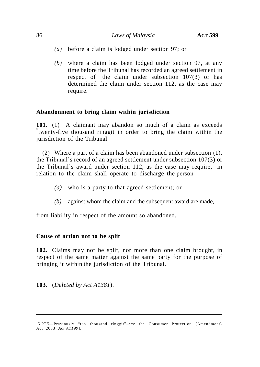#### 86 *Laws of Malaysia* **ACT 599**

- *(a)* before a claim is lodged under section 97; or
- *(b)* where a claim has been lodged under section 97, at any time before the Tribunal has recorded an agreed settlement in respect of the claim under subsection 107(3) or has determined the claim under section 112, as the case may require.

### **Abandonment to bring claim within jurisdiction**

**101.** (1) A claimant may abandon so much of a claim as exceeds \* twenty-five thousand ringgit in order to bring the claim within the jurisdiction of the Tribunal.

(2) Where a part of a claim has been abandoned under subsection (1), the Tribunal's record of an agreed settlement under subsection 107(3) or the Tribunal's award under section 112, as the case may require, in relation to the claim shall operate to discharge the person—

- *(a)* who is a party to that agreed settlement; or
- *(b)* against whom the claim and the subsequent award are made,

from liability in respect of the amount so abandoned.

#### **Cause of action not to be split**

**102.** Claims may not be split, nor more than one claim brought, in respect of the same matter against the same party for the purpose of bringing it within the jurisdiction of the Tribunal.

**103.** (*Deleted by Act A1381*).

*<sup>\*</sup>NOTE*—Previously "ten thousand ringgit"-see the Consumer Protection (Amendment) Act 2003 [*Act A1199*].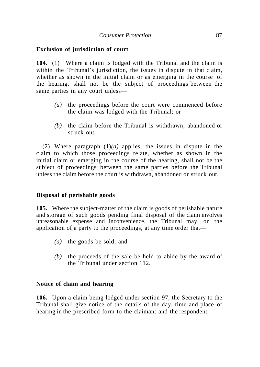## **Exclusion of jurisdiction of court**

**104.** (1) Where a claim is lodged with the Tribunal and the claim is within the Tribunal's jurisdiction, the issues in dispute in that claim, whether as shown in the initial claim or as emerging in the course of the hearing, shall not be the subject of proceedings between the same parties in any court unless—

- *(a)* the proceedings before the court were commenced before the claim was lodged with the Tribunal; or
- *(b)* the claim before the Tribunal is withdrawn, abandoned or struck out.

(2) Where paragraph (1)*(a)* applies, the issues in dispute in the claim to which those proceedings relate, whether as shown in the initial claim or emerging in the course of the hearing, shall not be the subject of proceedings between the same parties before the Tribunal unless the claim before the court is withdrawn, abandoned or struck out.

### **Disposal of perishable goods**

**105.** Where the subject-matter of the claim is goods of perishable nature and storage of such goods pending final disposal of the claim involves unreasonable expense and inconvenience, the Tribunal may, on the application of a party to the proceedings, at any time order that—

- *(a)* the goods be sold; and
- *(b)* the proceeds of the sale be held to abide by the award of the Tribunal under section 112.

#### **Notice of claim and hearing**

**106.** Upon a claim being lodged under section 97, the Secretary to the Tribunal shall give notice of the details of the day, time and place of hearing in the prescribed form to the claimant and the respondent.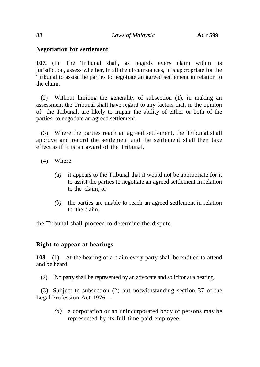## **Negotiation for settlement**

**107.** (1) The Tribunal shall, as regards every claim within its jurisdiction, assess whether, in all the circumstances, it is appropriate for the Tribunal to assist the parties to negotiate an agreed settlement in relation to the claim.

(2) Without limiting the generality of subsection (1), in making an assessment the Tribunal shall have regard to any factors that, in the opinion of the Tribunal, are likely to impair the ability of either or both of the parties to negotiate an agreed settlement.

(3) Where the parties reach an agreed settlement, the Tribunal shall approve and record the settlement and the settlement shall then take effect as if it is an award of the Tribunal.

- (4) Where—
	- *(a)* it appears to the Tribunal that it would not be appropriate for it to assist the parties to negotiate an agreed settlement in relation to the claim; or
	- *(b)* the parties are unable to reach an agreed settlement in relation to the claim,

the Tribunal shall proceed to determine the dispute.

### **Right to appear at hearings**

**108.** (1) At the hearing of a claim every party shall be entitled to attend and be heard.

(2) No party shall be represented by an advocate and solicitor at a hearing.

(3) Subject to subsection (2) but notwithstanding section 37 of the Legal Profession Act 1976—

*(a)* a corporation or an unincorporated body of persons may be represented by its full time paid employee;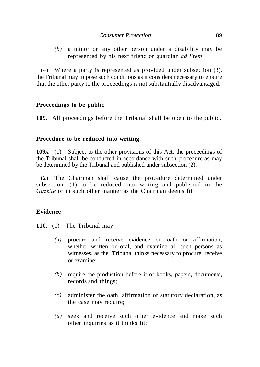*(b)* a minor or any other person under a disability may be represented by his next friend or guardian *ad litem*.

(4) Where a party is represented as provided under subsection (3), the Tribunal may impose such conditions as it considers necessary to ensure that the other party to the proceedings is not substantially disadvantaged.

### **Proceedings to be public**

**109.** All proceedings before the Tribunal shall be open to the public.

# **Procedure to be reduced into writing**

**109A.** (1) Subject to the other provisions of this Act, the proceedings of the Tribunal shall be conducted in accordance with such procedure as may be determined by the Tribunal and published under subsection (2).

(2) The Chairman shall cause the procedure determined under subsection (1) to be reduced into writing and published in the *Gazette* or in such other manner as the Chairman deems fit.

# **Evidence**

- **110.** (1) The Tribunal may—
	- *(a)* procure and receive evidence on oath or affirmation, whether written or oral, and examine all such persons as witnesses, as the Tribunal thinks necessary to procure, receive or examine;
	- *(b)* require the production before it of books, papers, documents, records and things;
	- *(c)* administer the oath, affirmation or statutory declaration, as the case may require;
	- *(d)* seek and receive such other evidence and make such other inquiries as it thinks fit;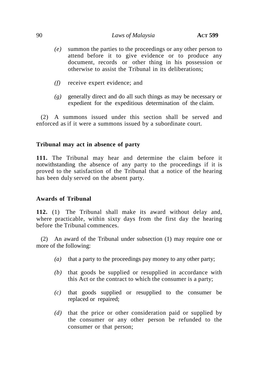- *(e)* summon the parties to the proceedings or any other person to attend before it to give evidence or to produce any document, records or other thing in his possession or otherwise to assist the Tribunal in its deliberations;
- *(f)* receive expert evidence; and
- *(g)* generally direct and do all such things as may be necessary or expedient for the expeditious determination of the claim.

(2) A summons issued under this section shall be served and enforced as if it were a summons issued by a subordinate court.

### **Tribunal may act in absence of party**

**111.** The Tribunal may hear and determine the claim before it notwithstanding the absence of any party to the proceedings if it is proved to the satisfaction of the Tribunal that a notice of the hearing has been duly served on the absent party.

### **Awards of Tribunal**

**112.** (1) The Tribunal shall make its award without delay and, where practicable, within sixty days from the first day the hearing before the Tribunal commences.

(2) An award of the Tribunal under subsection (1) may require one or more of the following:

- *(a)* that a party to the proceedings pay money to any other party;
- *(b)* that goods be supplied or resupplied in accordance with this Act or the contract to which the consumer is a party;
- *(c)* that goods supplied or resupplied to the consumer be replaced or repaired;
- *(d)* that the price or other consideration paid or supplied by the consumer or any other person be refunded to the consumer or that person;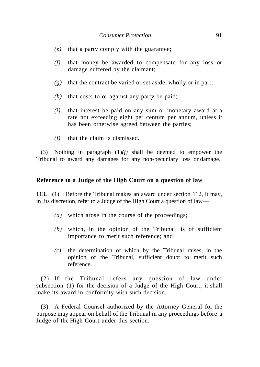- *(e)* that a party comply with the guarantee;
- *(f)* that money be awarded to compensate for any loss or damage suffered by the claimant;
- *(g)* that the contract be varied or set aside, wholly or in part;
- *(h)* that costs to or against any party be paid;
- *(i)* that interest be paid on any sum or monetary award at a rate not exceeding eight per centum per annum, unless it has been otherwise agreed between the parties;
- *(j)* that the claim is dismissed.

(3) Nothing in paragraph (1)*(f)* shall be deemed to empower the Tribunal to award any damages for any non-pecuniary loss or damage.

#### **Reference to a Judge of the High Court on a question of law**

**113.** (1) Before the Tribunal makes an award under section 112, it may, in its discretion, refer to a Judge of the High Court a question of law—

- *(a)* which arose in the course of the proceedings;
- *(b)* which, in the opinion of the Tribunal, is of sufficient importance to merit such reference; and
- *(c)* the determination of which by the Tribunal raises, in the opinion of the Tribunal, sufficient doubt to merit such reference.

(2) If the Tribunal refers any question of law under subsection (1) for the decision of a Judge of the High Court, it shall make its award in conformity with such decision.

(3) A Federal Counsel authorized by the Attorney General for the purpose may appear on behalf of the Tribunal in any proceedings before a Judge of the High Court under this section.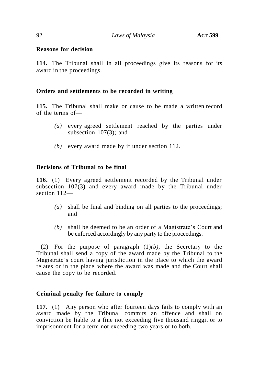#### **Reasons for decision**

**114.** The Tribunal shall in all proceedings give its reasons for its award in the proceedings.

#### **Orders and settlements to be recorded in writing**

**115.** The Tribunal shall make or cause to be made a written record of the terms of—

- *(a)* every agreed settlement reached by the parties under subsection 107(3); and
- *(b)* every award made by it under section 112.

## **Decisions of Tribunal to be final**

**116.** (1) Every agreed settlement recorded by the Tribunal under subsection 107(3) and every award made by the Tribunal under section 112—

- *(a)* shall be final and binding on all parties to the proceedings; and
- *(b)* shall be deemed to be an order of a Magistrate's Court and be enforced accordingly by any party to the proceedings.

(2) For the purpose of paragraph (1)*(b)*, the Secretary to the Tribunal shall send a copy of the award made by the Tribunal to the Magistrate's court having jurisdiction in the place to which the award relates or in the place where the award was made and the Court shall cause the copy to be recorded.

### **Criminal penalty for failure to comply**

**117.** (1) Any person who after fourteen days fails to comply with an award made by the Tribunal commits an offence and shall on conviction be liable to a fine not exceeding five thousand ringgit or to imprisonment for a term not exceeding two years or to both.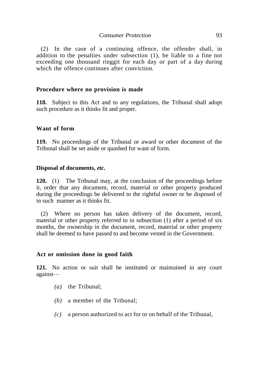(2) In the case of a continuing offence, the offender shall, in addition to the penalties under subsection (1), be liable to a fine not exceeding one thousand ringgit for each day or part of a day during which the offence continues after conviction.

#### **Procedure where no provision is made**

**118.** Subject to this Act and to any regulations, the Tribunal shall adopt such procedure as it thinks fit and proper.

#### **Want of form**

**119.** No proceedings of the Tribunal or award or other document of the Tribunal shall be set aside or quashed for want of form.

#### **Disposal of documents,** *etc.*

**120.** (1) The Tribunal may, at the conclusion of the proceedings before it, order that any document, record, material or other property produced during the proceedings be delivered to the rightful owner or be disposed of in such manner as it thinks fit.

(2) Where no person has taken delivery of the document, record, material or other property referred to in subsection (1) after a period of six months, the ownership in the document, record, material or other property shall be deemed to have passed to and become vested in the Government.

#### **Act or omission done in good faith**

**121.** No action or suit shall be instituted or maintained in any court against—

- *(a)* the Tribunal;
- *(b)* a member of the Tribunal;
- *(c)* a person authorized to act for or on behalf of the Tribunal,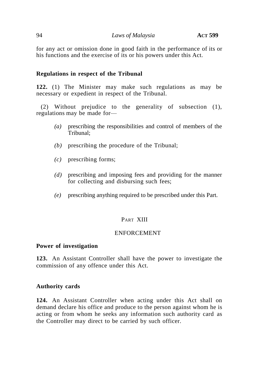for any act or omission done in good faith in the performance of its or his functions and the exercise of its or his powers under this Act.

## **Regulations in respect of the Tribunal**

**122.** (1) The Minister may make such regulations as may be necessary or expedient in respect of the Tribunal.

(2) Without prejudice to the generality of subsection (1), regulations may be made for—

- *(a)* prescribing the responsibilities and control of members of the Tribunal;
- *(b)* prescribing the procedure of the Tribunal;
- *(c)* prescribing forms;
- *(d)* prescribing and imposing fees and providing for the manner for collecting and disbursing such fees;
- *(e)* prescribing anything required to be prescribed under this Part.

### PART XIII

#### ENFORCEMENT

#### **Power of investigation**

**123.** An Assistant Controller shall have the power to investigate the commission of any offence under this Act.

### **Authority cards**

**124.** An Assistant Controller when acting under this Act shall on demand declare his office and produce to the person against whom he is acting or from whom he seeks any information such authority card as the Controller may direct to be carried by such officer.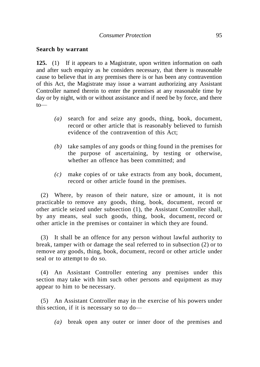#### **Search by warrant**

**125.** (1) If it appears to a Magistrate, upon written information on oath and after such enquiry as he considers necessary, that there is reasonable cause to believe that in any premises there is or has been any contravention of this Act, the Magistrate may issue a warrant authorizing any Assistant Controller named therein to enter the premises at any reasonable time by day or by night, with or without assistance and if need be by force, and there to—

- *(a)* search for and seize any goods, thing, book, document, record or other article that is reasonably believed to furnish evidence of the contravention of this Act;
- *(b)* take samples of any goods or thing found in the premises for the purpose of ascertaining, by testing or otherwise, whether an offence has been committed; and
- *(c)* make copies of or take extracts from any book, document, record or other article found in the premises.

(2) Where, by reason of their nature, size or amount, it is not practicable to remove any goods, thing, book, document, record or other article seized under subsection (1), the Assistant Controller shall, by any means, seal such goods, thing, book, document, record or other article in the premises or container in which they are found.

(3) It shall be an offence for any person without lawful authority to break, tamper with or damage the seal referred to in subsection (2) or to remove any goods, thing, book, document, record or other article under seal or to attempt to do so.

(4) An Assistant Controller entering any premises under this section may take with him such other persons and equipment as may appear to him to be necessary.

(5) An Assistant Controller may in the exercise of his powers under this section, if it is necessary so to do—

*(a)* break open any outer or inner door of the premises and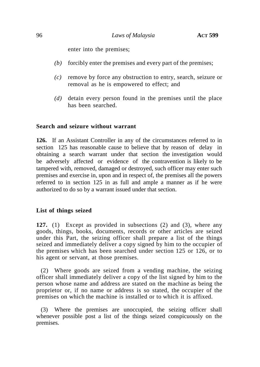enter into the premises;

- *(b)* forcibly enter the premises and every part of the premises;
- *(c)* remove by force any obstruction to entry, search, seizure or removal as he is empowered to effect; and
- *(d)* detain every person found in the premises until the place has been searched.

#### **Search and seizure without warrant**

**126.** If an Assistant Controller in any of the circumstances referred to in section 125 has reasonable cause to believe that by reason of delay in obtaining a search warrant under that section the investigation would be adversely affected or evidence of the contravention is likely to be tampered with, removed, damaged or destroyed, such officer may enter such premises and exercise in, upon and in respect of, the premises all the powers referred to in section 125 in as full and ample a manner as if he were authorized to do so by a warrant issued under that section.

### **List of things seized**

**127.** (1) Except as provided in subsections (2) and (3), where any goods, things, books, documents, records or other articles are seized under this Part, the seizing officer shall prepare a list of the things seized and immediately deliver a copy signed by him to the occupier of the premises which has been searched under section 125 or 126, or to his agent or servant, at those premises.

(2) Where goods are seized from a vending machine, the seizing officer shall immediately deliver a copy of the list signed by him to the person whose name and address are stated on the machine as being the proprietor or, if no name or address is so stated, the occupier of the premises on which the machine is installed or to which it is affixed.

(3) Where the premises are unoccupied, the seizing officer shall whenever possible post a list of the things seized conspicuously on the premises.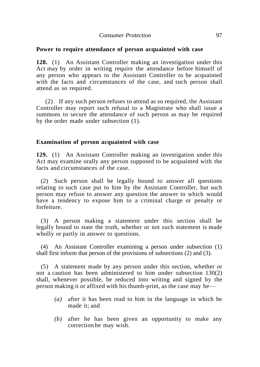#### **Power to require attendance of person acquainted with case**

**128.** (1) An Assistant Controller making an investigation under this Act may by order in writing require the attendance before himself of any person who appears to the Assistant Controller to be acquainted with the facts and circumstances of the case, and such person shall attend as so required.

(2) If any such person refuses to attend as so required, the Assistant Controller may report such refusal to a Magistrate who shall issue a summons to secure the attendance of such person as may be required by the order made under subsection (1).

#### **Examination of person acquainted with case**

**129.** (1) An Assistant Controller making an investigation under this Act may examine orally any person supposed to be acquainted with the facts and circumstances of the case.

(2) Such person shall be legally bound to answer all questions relating to such case put to him by the Assistant Controller, but such person may refuse to answer any question the answer to which would have a tendency to expose him to a criminal charge or penalty or forfeiture.

(3) A person making a statement under this section shall be legally bound to state the truth, whether or not such statement is made wholly or partly in answer to questions.

(4) An Assistant Controller examining a person under subsection (1) shall first inform that person of the provisions of subsections (2) and (3).

(5) A statement made by any person under this section, whether or not a caution has been administered to him under subsection 130(2) shall, whenever possible, be reduced into writing and signed by the person making it or affixed with his thumb-print, as the case may be—

- *(a)* after it has been read to him in the language in which he made it; and
- *(b)* after he has been given an opportunity to make any correction he may wish.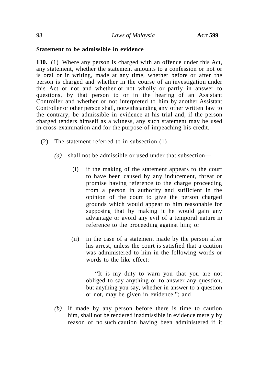## **Statement to be admissible in evidence**

**130.** (1) Where any person is charged with an offence under this Act, any statement, whether the statement amounts to a confession or not or is oral or in writing, made at any time, whether before or after the person is charged and whether in the course of an investigation under this Act or not and whether or not wholly or partly in answer to questions, by that person to or in the hearing of an Assistant Controller and whether or not interpreted to him by another Assistant Controller or other person shall, notwithstanding any other written law to the contrary, be admissible in evidence at his trial and, if the person charged tenders himself as a witness, any such statement may be used in cross-examination and for the purpose of impeaching his credit.

- (2) The statement referred to in subsection  $(1)$ 
	- *(a)* shall not be admissible or used under that subsection—
		- (i) if the making of the statement appears to the court to have been caused by any inducement, threat or promise having reference to the charge proceeding from a person in authority and sufficient in the opinion of the court to give the person charged grounds which would appear to him reasonable for supposing that by making it he would gain any advantage or avoid any evil of a temporal nature in reference to the proceeding against him; or
		- (ii) in the case of a statement made by the person after his arrest, unless the court is satisfied that a caution was administered to him in the following words or words to the like effect:

"It is my duty to warn you that you are not obliged to say anything or to answer any question, but anything you say, whether in answer to a question or not, may be given in evidence."; and

*(b)* if made by any person before there is time to caution him, shall not be rendered inadmissible in evidence merely by reason of no such caution having been administered if it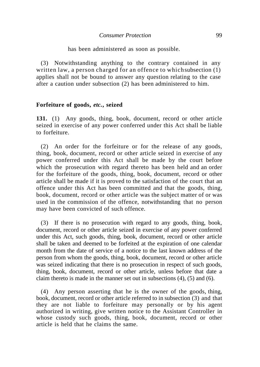has been administered as soon as possible.

(3) Notwithstanding anything to the contrary contained in any written law, a person charged for an offence to whichsubsection (1) applies shall not be bound to answer any question relating to the case after a caution under subsection (2) has been administered to him.

#### **Forfeiture of goods,** *etc.***, seized**

**131.** (1) Any goods, thing, book, document, record or other article seized in exercise of any power conferred under this Act shall be liable to forfeiture.

(2) An order for the forfeiture or for the release of any goods, thing, book, document, record or other article seized in exercise of any power conferred under this Act shall be made by the court before which the prosecution with regard thereto has been held and an order for the forfeiture of the goods, thing, book, document, record or other article shall be made if it is proved to the satisfaction of the court that an offence under this Act has been committed and that the goods, thing, book, document, record or other article was the subject matter of or was used in the commission of the offence, notwithstanding that no person may have been convicted of such offence.

(3) If there is no prosecution with regard to any goods, thing, book, document, record or other article seized in exercise of any power conferred under this Act, such goods, thing, book, document, record or other article shall be taken and deemed to be forfeited at the expiration of one calendar month from the date of service of a notice to the last known address of the person from whom the goods, thing, book, document, record or other article was seized indicating that there is no prosecution in respect of such goods, thing, book, document, record or other article, unless before that date a claim thereto is made in the manner set out in subsections (4), (5) and (6).

(4) Any person asserting that he is the owner of the goods, thing, book, document, record or other article referred to in subsection (3) and that they are not liable to forfeiture may personally or by his agent authorized in writing, give written notice to the Assistant Controller in whose custody such goods, thing, book, document, record or other article is held that he claims the same.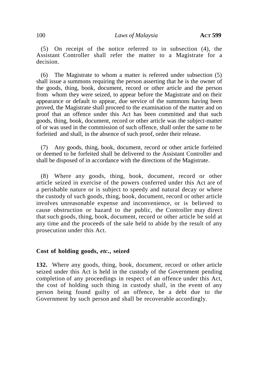(5) On receipt of the notice referred to in subsection (4), the Assistant Controller shall refer the matter to a Magistrate for a decision.

(6) The Magistrate to whom a matter is referred under subsection (5) shall issue a summons requiring the person asserting that he is the owner of the goods, thing, book, document, record or other article and the person from whom they were seized, to appear before the Magistrate and on their appearance or default to appear, due service of the summons having been proved, the Magistrate shall proceed to the examination of the matter and on proof that an offence under this Act has been committed and that such goods, thing, book, document, record or other article was the subject-matter of or was used in the commission of such offence, shall order the same to be forfeited and shall, in the absence of such proof, order their release.

(7) Any goods, thing, book, document, record or other article forfeited or deemed to be forfeited shall be delivered to the Assistant Controller and shall be disposed of in accordance with the directions of the Magistrate.

(8) Where any goods, thing, book, document, record or other article seized in exercise of the powers conferred under this Act are of a perishable nature or is subject to speedy and natural decay or where the custody of such goods, thing, book, document, record or other article involves unreasonable expense and inconvenience, or is believed to cause obstruction or hazard to the public, the Controller may direct that such goods, thing, book, document, record or other article be sold at any time and the proceeds of the sale held to abide by the result of any prosecution under this Act.

### **Cost of holding goods,** *etc.***, seized**

**132.** Where any goods, thing, book, document, record or other article seized under this Act is held in the custody of the Government pending completion of any proceedings in respect of an offence under this Act, the cost of holding such thing in custody shall, in the event of any person being found guilty of an offence, be a debt due to the Government by such person and shall be recoverable accordingly.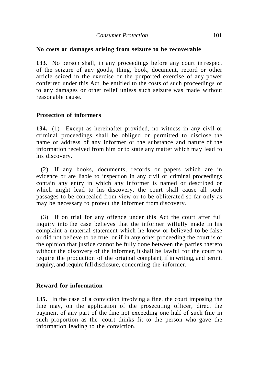## **No costs or damages arising from seizure to be recoverable**

**133.** No person shall, in any proceedings before any court in respect of the seizure of any goods, thing, book, document, record or other article seized in the exercise or the purported exercise of any power conferred under this Act, be entitled to the costs of such proceedings or to any damages or other relief unless such seizure was made without reasonable cause.

## **Protection of informers**

**134.** (1) Except as hereinafter provided, no witness in any civil or criminal proceedings shall be obliged or permitted to disclose the name or address of any informer or the substance and nature of the information received from him or to state any matter which may lead to his discovery.

(2) If any books, documents, records or papers which are in evidence or are liable to inspection in any civil or criminal proceedings contain any entry in which any informer is named or described or which might lead to his discovery, the court shall cause all such passages to be concealed from view or to be obliterated so far only as may be necessary to protect the informer from discovery.

(3) If on trial for any offence under this Act the court after full inquiry into the case believes that the informer wilfully made in his complaint a material statement which he knew or believed to be false or did not believe to be true, or if in any other proceeding the court is of the opinion that justice cannot be fully done between the parties thereto without the discovery of the informer, itshall be lawful for the court to require the production of the original complaint, if in writing, and permit inquiry, and require full disclosure, concerning the informer.

### **Reward for information**

**135.** In the case of a conviction involving a fine, the court imposing the fine may, on the application of the prosecuting officer, direct the payment of any part of the fine not exceeding one half of such fine in such proportion as the court thinks fit to the person who gave the information leading to the conviction.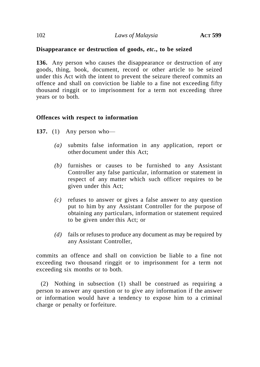## **Disappearance or destruction of goods,** *etc.***, to be seized**

**136.** Any person who causes the disappearance or destruction of any goods, thing, book, document, record or other article to be seized under this Act with the intent to prevent the seizure thereof commits an offence and shall on conviction be liable to a fine not exceeding fifty thousand ringgit or to imprisonment for a term not exceeding three years or to both.

### **Offences with respect to information**

- **137.** (1) Any person who—
	- *(a)* submits false information in any application, report or other document under this Act;
	- *(b)* furnishes or causes to be furnished to any Assistant Controller any false particular, information or statement in respect of any matter which such officer requires to be given under this Act;
	- *(c)* refuses to answer or gives a false answer to any question put to him by any Assistant Controller for the purpose of obtaining any particulars, information or statement required to be given under this Act; or
	- *(d)* fails or refuses to produce any document as may be required by any Assistant Controller,

commits an offence and shall on conviction be liable to a fine not exceeding two thousand ringgit or to imprisonment for a term not exceeding six months or to both.

(2) Nothing in subsection (1) shall be construed as requiring a person to answer any question or to give any information if the answer or information would have a tendency to expose him to a criminal charge or penalty or forfeiture.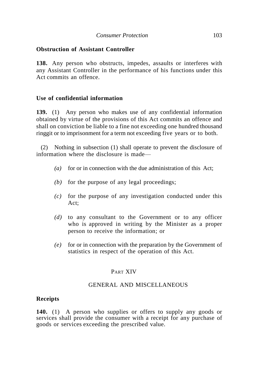# **Obstruction of Assistant Controller**

**138.** Any person who obstructs, impedes, assaults or interferes with any Assistant Controller in the performance of his functions under this Act commits an offence.

## **Use of confidential information**

**139.** (1) Any person who makes use of any confidential information obtained by virtue of the provisions of this Act commits an offence and shall on conviction be liable to a fine not exceeding one hundred thousand ringgit or to imprisonment for a term not exceeding five years or to both.

(2) Nothing in subsection (1) shall operate to prevent the disclosure of information where the disclosure is made—

- *(a)* for or in connection with the due administration of this Act;
- *(b)* for the purpose of any legal proceedings;
- $(c)$  for the purpose of any investigation conducted under this Act;
- *(d)* to any consultant to the Government or to any officer who is approved in writing by the Minister as a proper person to receive the information; or
- *(e)* for or in connection with the preparation by the Government of statistics in respect of the operation of this Act.

# PART XIV

# GENERAL AND MISCELLANEOUS

### **Receipts**

**140.** (1) A person who supplies or offers to supply any goods or services shall provide the consumer with a receipt for any purchase of goods or services exceeding the prescribed value.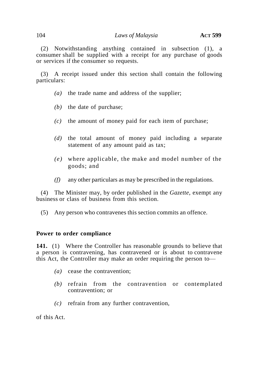#### 104 *Laws of Malaysia* **ACT 599**

(2) Notwithstanding anything contained in subsection (1), a consumer shall be supplied with a receipt for any purchase of goods or services if the consumer so requests.

(3) A receipt issued under this section shall contain the following particulars:

- *(a)* the trade name and address of the supplier;
- *(b)* the date of purchase;
- *(c)* the amount of money paid for each item of purchase;
- *(d)* the total amount of money paid including a separate statement of any amount paid as tax;
- *(e)* where applicable, the make and model number of the goods; and
- *(f)* any other particulars as may be prescribed in the regulations.

(4) The Minister may, by order published in the *Gazette*, exempt any business or class of business from this section.

(5) Any person who contravenes this section commits an offence.

### **Power to order compliance**

**141.** (1) Where the Controller has reasonable grounds to believe that a person is contravening, has contravened or is about to contravene this Act, the Controller may make an order requiring the person to—

- *(a)* cease the contravention;
- *(b)* refrain from the contravention or contemplated contravention; or
- *(c)* refrain from any further contravention,

of this Act.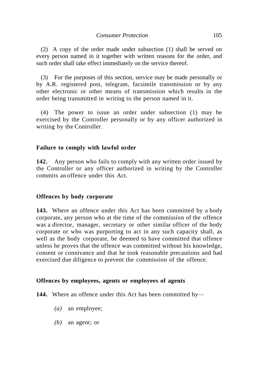(2) A copy of the order made under subsection (1) shall be served on every person named in it together with written reasons for the order, and such order shall take effect immediately on the service thereof.

(3) For the purposes of this section, service may be made personally or by A.R. registered post, telegram, facsimile transmission or by any other electronic or other means of transmission which results in the order being transmitted in writing to the person named in it.

(4) The power to issue an order under subsection (1) may be exercised by the Controller personally or by any officer authorized in writing by the Controller.

# **Failure to comply with lawful order**

**142.** Any person who fails to comply with any written order issued by the Controller or any officer authorized in writing by the Controller commits an offence under this Act.

# **Offences by body corporate**

**143.** Where an offence under this Act has been committed by a body corporate, any person who at the time of the commission of the offence was a director, manager, secretary or other similar officer of the body corporate or who was purporting to act in any such capacity shall, as well as the body corporate, be deemed to have committed that offence unless he proves that the offence was committed without his knowledge, consent or connivance and that he took reasonable precautions and had exercised due diligence to prevent the commission of the offence.

# **Offences by employees, agents or employees of agents**

**144.** Where an offence under this Act has been committed by—

- *(a)* an employee;
- *(b)* an agent; or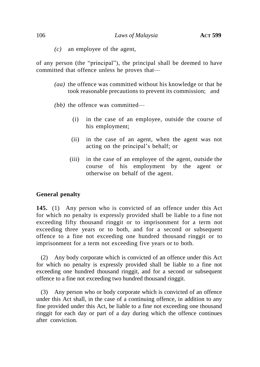*(c)* an employee of the agent,

of any person (the "principal"), the principal shall be deemed to have committed that offence unless he proves that—

- *(aa)* the offence was committed without his knowledge or that he took reasonable precautions to prevent its commission; and
- *(bb)* the offence was committed—
	- (i) in the case of an employee, outside the course of his employment;
	- (ii) in the case of an agent, when the agent was not acting on the principal's behalf; or
	- (iii) in the case of an employee of the agent, outside the course of his employment by the agent or otherwise on behalf of the agent.

### **General penalty**

**145.** (1) Any person who is convicted of an offence under this Act for which no penalty is expressly provided shall be liable to a fine not exceeding fifty thousand ringgit or to imprisonment for a term not exceeding three years or to both, and for a second or subsequent offence to a fine not exceeding one hundred thousand ringgit or to imprisonment for a term not exceeding five years or to both.

(2) Any body corporate which is convicted of an offence under this Act for which no penalty is expressly provided shall be liable to a fine not exceeding one hundred thousand ringgit, and for a second or subsequent offence to a fine not exceeding two hundred thousand ringgit.

(3) Any person who or body corporate which is convicted of an offence under this Act shall, in the case of a continuing offence, in addition to any fine provided under this Act, be liable to a fine not exceeding one thousand ringgit for each day or part of a day during which the offence continues after conviction.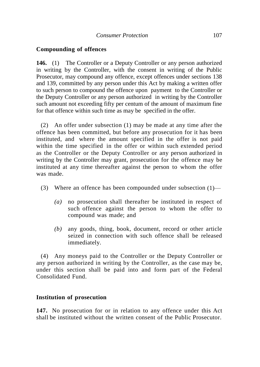## **Compounding of offences**

**146.** (1) The Controller or a Deputy Controller or any person authorized in writing by the Controller, with the consent in writing of the Public Prosecutor, may compound any offence, except offences under sections 138 and 139, committed by any person under this Act by making a written offer to such person to compound the offence upon payment to the Controller or the Deputy Controller or any person authorized in writing by the Controller such amount not exceeding fifty per centum of the amount of maximum fine for that offence within such time as may be specified in the offer.

(2) An offer under subsection (1) may be made at any time after the offence has been committed, but before any prosecution for it has been instituted, and where the amount specified in the offer is not paid within the time specified in the offer or within such extended period as the Controller or the Deputy Controller or any person authorized in writing by the Controller may grant, prosecution for the offence may be instituted at any time thereafter against the person to whom the offer was made.

- (3) Where an offence has been compounded under subsection (1)—
	- *(a)* no prosecution shall thereafter be instituted in respect of such offence against the person to whom the offer to compound was made; and
	- *(b)* any goods, thing, book, document, record or other article seized in connection with such offence shall be released immediately.

(4) Any moneys paid to the Controller or the Deputy Controller or any person authorized in writing by the Controller, as the case may be, under this section shall be paid into and form part of the Federal Consolidated Fund.

### **Institution of prosecution**

**147.** No prosecution for or in relation to any offence under this Act shall be instituted without the written consent of the Public Prosecutor.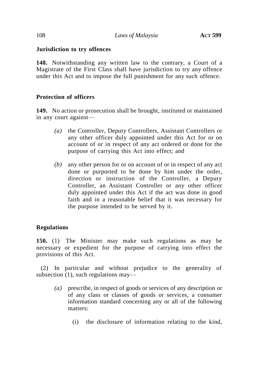# **Jurisdiction to try offences**

**148.** Notwithstanding any written law to the contrary, a Court of a Magistrate of the First Class shall have jurisdiction to try any offence under this Act and to impose the full punishment for any such offence.

# **Protection of officers**

**149.** No action or prosecution shall be brought, instituted or maintained in any court against—

- *(a)* the Controller, Deputy Controllers, Assistant Controllers or any other officer duly appointed under this Act for or on account of or in respect of any act ordered or done for the purpose of carrying this Act into effect; and
- *(b)* any other person for or on account of or in respect of any act done or purported to be done by him under the order, direction or instruction of the Controller, a Deputy Controller, an Assistant Controller or any other officer duly appointed under this Act if the act was done in good faith and in a reasonable belief that it was necessary for the purpose intended to be served by it.

# **Regulations**

**150.** (1) The Minister may make such regulations as may be necessary or expedient for the purpose of carrying into effect the provisions of this Act.

(2) In particular and without prejudice to the generality of subsection (1), such regulations may—

- *(a)* prescribe, in respect of goods or services of any description or of any class or classes of goods or services, a consumer information standard concerning any or all of the following matters:
	- (i) the disclosure of information relating to the kind,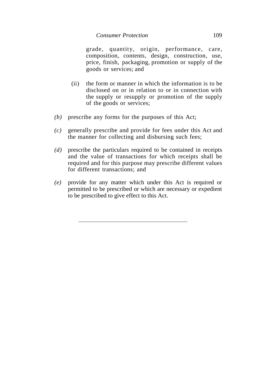grade, quantity, origin, performance, care, composition, contents, design, construction, use, price, finish, packaging, promotion or supply of the goods or services; and

- (ii) the form or manner in which the information is to be disclosed on or in relation to or in connection with the supply or resupply or promotion of the supply of the goods or services;
- *(b)* prescribe any forms for the purposes of this Act;
- *(c)* generally prescribe and provide for fees under this Act and the manner for collecting and disbursing such fees;
- *(d)* prescribe the particulars required to be contained in receipts and the value of transactions for which receipts shall be required and for this purpose may prescribe different values for different transactions; and
- *(e)* provide for any matter which under this Act is required or permitted to be prescribed or which are necessary or expedient to be prescribed to give effect to this Act.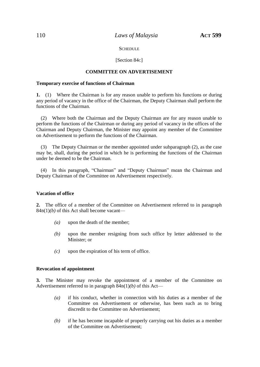## 110 *Laws of Malaysia* **ACT 599**

### **SCHEDULE**

### [Section 84c]

## **COMMITTEE ON ADVERTISEMENT**

#### **Temporary exercise of functions of Chairman**

**1.** (1) Where the Chairman is for any reason unable to perform his functions or during any period of vacancy in the office of the Chairman, the Deputy Chairman shall perform the functions of the Chairman.

(2) Where both the Chairman and the Deputy Chairman are for any reason unable to perform the functions of the Chairman or during any period of vacancy in the offices of the Chairman and Deputy Chairman, the Minister may appoint any member of the Committee on Advertisement to perform the functions of the Chairman.

(3) The Deputy Chairman or the member appointed under subparagraph (2), as the case may be, shall, during the period in which he is performing the functions of the Chairman under be deemed to be the Chairman.

(4) In this paragraph, "Chairman" and "Deputy Chairman" mean the Chairman and Deputy Chairman of the Committee on Advertisement respectively.

#### **Vacation of office**

**2.** The office of a member of the Committee on Advertisement referred to in paragraph 84B(1)*(b)* of this Act shall become vacant—

- *(a)* upon the death of the member;
- *(b)* upon the member resigning from such office by letter addressed to the Minister; or
- *(c)* upon the expiration of his term of office.

#### **Revocation of appointment**

**3.** The Minister may revoke the appointment of a member of the Committee on Advertisement referred to in paragraph 84B(1)*(b)* of this Act—

- *(a)* if his conduct, whether in connection with his duties as a member of the Committee on Advertisement or otherwise, has been such as to bring discredit to the Committee on Advertisement;
- *(b)* if he has become incapable of properly carrying out his duties as a member of the Committee on Advertisement;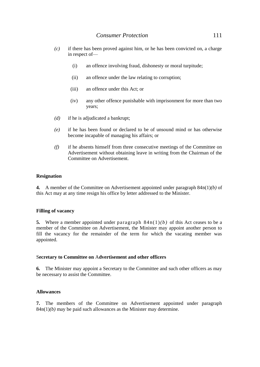- *(c)* if there has been proved against him, or he has been convicted on, a charge in respect of—
	- (i) an offence involving fraud, dishonesty or moral turpitude;
	- (ii) an offence under the law relating to corruption;
	- (iii) an offence under this Act; or
	- (iv) any other offence punishable with imprisonment for more than two years;
- *(d)* if he is adjudicated a bankrupt;
- *(e)* if he has been found or declared to be of unsound mind or has otherwise become incapable of managing his affairs; or
- *(f)* if he absents himself from three consecutive meetings of the Committee on Advertisement without obtaining leave in writing from the Chairman of the Committee on Advertisement.

### **Resignation**

**4.** A member of the Committee on Advertisement appointed under paragraph 84B(1)*(b)* of this Act may at any time resign his office by letter addressed to the Minister.

### **Filling of vacancy**

**5.** Where a member appointed under paragraph  $84B(1)/b$  of this Act ceases to be a member of the Committee on Advertisement, the Minister may appoint another person to fill the vacancy for the remainder of the term for which the vacating member was appointed.

### S**ecretary to Committee on** A**dvertisement and other officers**

**6.** The Minister may appoint a Secretary to the Committee and such other officers as may be necessary to assist the Committee.

### **Allowances**

**7.** The members of the Committee on Advertisement appointed under paragraph 84B(1)*(b)* may be paid such allowances as the Minister may determine.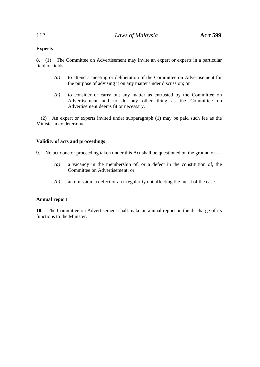## **Experts**

**8.** (1) The Committee on Advertisement may invite an expert or experts in a particular field or fields—

- *(a)* to attend a meeting or deliberation of the Committee on Advertisement for the purpose of advising it on any matter under discussion; or
- *(b)* to consider or carry out any matter as entrusted by the Committee on Advertisement and to do any other thing as the Committee on Advertisement deems fit or necessary.

(2) An expert or experts invited under subparagraph (1) may be paid such fee as the Minister may determine.

## **Validity of acts and proceedings**

- **9.** No act done or proceeding taken under this Act shall be questioned on the ground of—
	- *(a)* a vacancy in the membership of, or a defect in the constitution of, the Committee on Advertisement; or
	- *(b)* an omission, a defect or an irregularity not affecting the merit of the case.

### **Annual report**

**10.** The Committee on Advertisement shall make an annual report on the discharge of its functions to the Minister.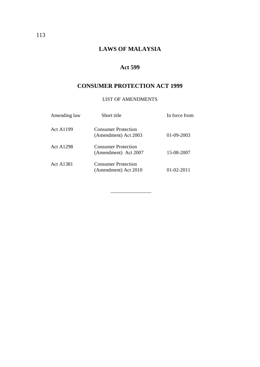# **LAWS OF MALAYSIA**

## **Act 599**

# **CONSUMER PROTECTION ACT 1999**

## LIST OF AMENDMENTS

| Amending law     | Short title                                        | In force from    |
|------------------|----------------------------------------------------|------------------|
| <b>Act A1199</b> | <b>Consumer Protection</b><br>(Amendment) Act 2003 | $01-09-2003$     |
| <b>Act A1298</b> | <b>Consumer Protection</b><br>(Amendment) Act 2007 | 15-08-2007       |
| <b>Act A1381</b> | <b>Consumer Protection</b><br>(Amendment) Act 2010 | $01 - 02 - 2011$ |